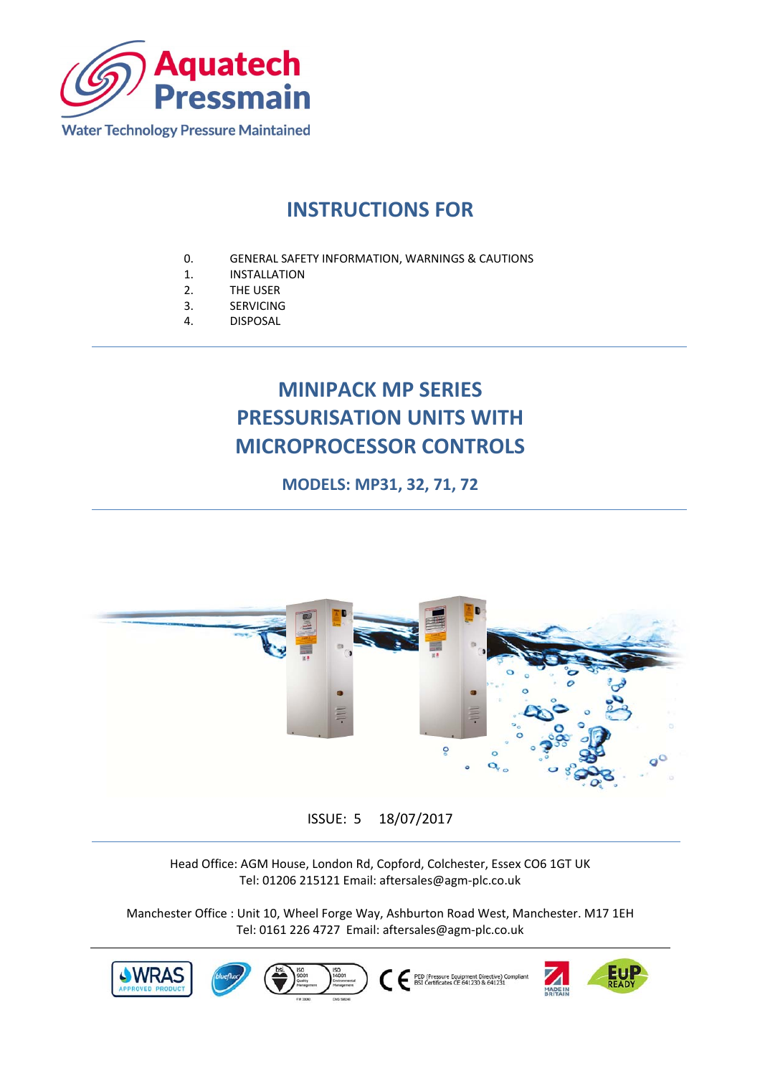

# **INSTRUCTIONS FOR**

- 0. GENERAL SAFETY INFORMATION, WARNINGS & CAUTIONS<br>1. INSTALLATION
- **INSTALLATION**
- 2. THE USER
- 3. SERVICING
- 4. DISPOSAL

# **MINIPACK MP SERIES PRESSURISATION UNITS WITH MICROPROCESSOR CONTROLS**

**MODELS: MP31, 32, 71, 72** 



## ISSUE: 5 18/07/2017

Head Office: AGM House, London Rd, Copford, Colchester, Essex CO6 1GT UK Tel: 01206 215121 Email: aftersales@agm‐plc.co.uk

Manchester Office : Unit 10, Wheel Forge Way, Ashburton Road West, Manchester. M17 1EH Tel: 0161 226 4727 Email: aftersales@agm‐plc.co.uk

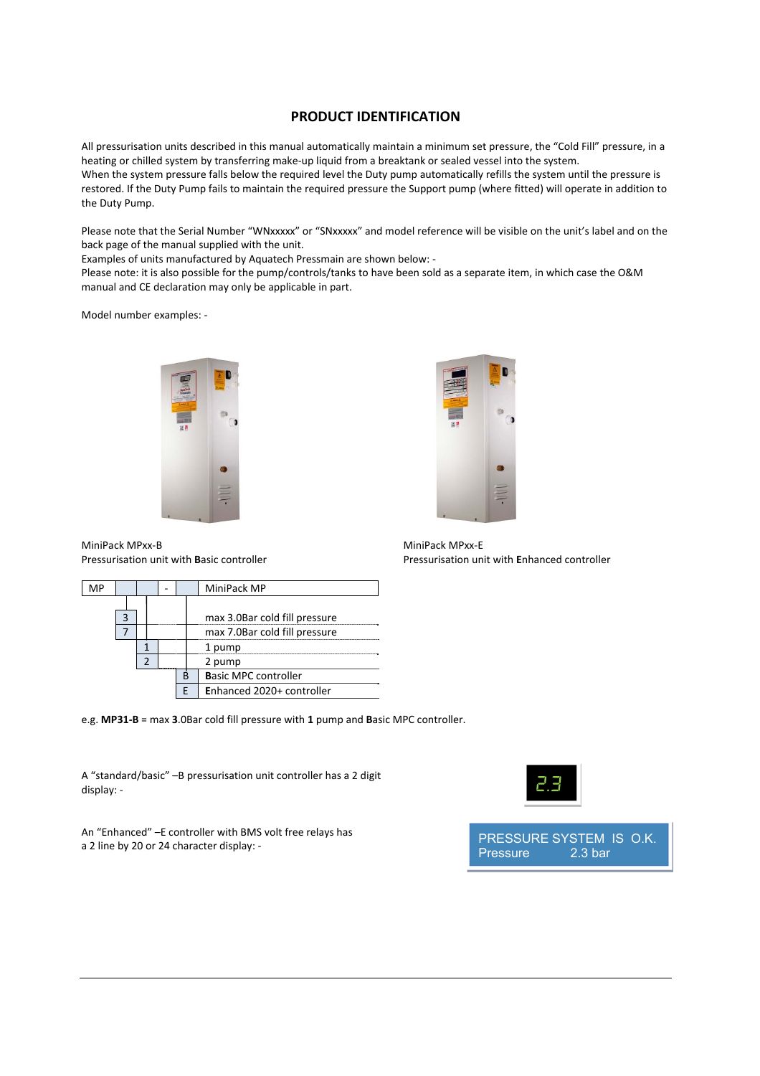### **PRODUCT IDENTIFICATION**

All pressurisation units described in this manual automatically maintain a minimum set pressure, the "Cold Fill" pressure, in a heating or chilled system by transferring make‐up liquid from a breaktank or sealed vessel into the system. When the system pressure falls below the required level the Duty pump automatically refills the system until the pressure is restored. If the Duty Pump fails to maintain the required pressure the Support pump (where fitted) will operate in addition to the Duty Pump.

Please note that the Serial Number "WNxxxxx" or "SNxxxxx" and model reference will be visible on the unit's label and on the back page of the manual supplied with the unit.

Examples of units manufactured by Aquatech Pressmain are shown below: ‐

Please note: it is also possible for the pump/controls/tanks to have been sold as a separate item, in which case the O&M manual and CE declaration may only be applicable in part.

Model number examples: ‐





Pressurisation unit with **B**asic controller Pressurisation unit with **E**nhanced controller

MiniPack MPxx‐B MiniPack MPxx‐E

|  |  |  |                           | MiniPack MP                 |                               |  |  |
|--|--|--|---------------------------|-----------------------------|-------------------------------|--|--|
|  |  |  |                           |                             |                               |  |  |
|  |  |  |                           |                             | max 3.0Bar cold fill pressure |  |  |
|  |  |  |                           |                             | max 7.0Bar cold fill pressure |  |  |
|  |  |  |                           |                             | pump                          |  |  |
|  |  |  |                           |                             | 2 pump                        |  |  |
|  |  |  |                           | <b>Basic MPC controller</b> |                               |  |  |
|  |  |  | Enhanced 2020+ controller |                             |                               |  |  |

e.g. **MP31‐B** = max **3**.0Bar cold fill pressure with **1** pump and **B**asic MPC controller.

A "standard/basic" –B pressurisation unit controller has a 2 digit display: ‐

An "Enhanced" –E controller with BMS volt free relays has a 2 line by 20 or 24 character display: ‐



PRESSURE SYSTEM IS O.K. Pressure 2.3 bar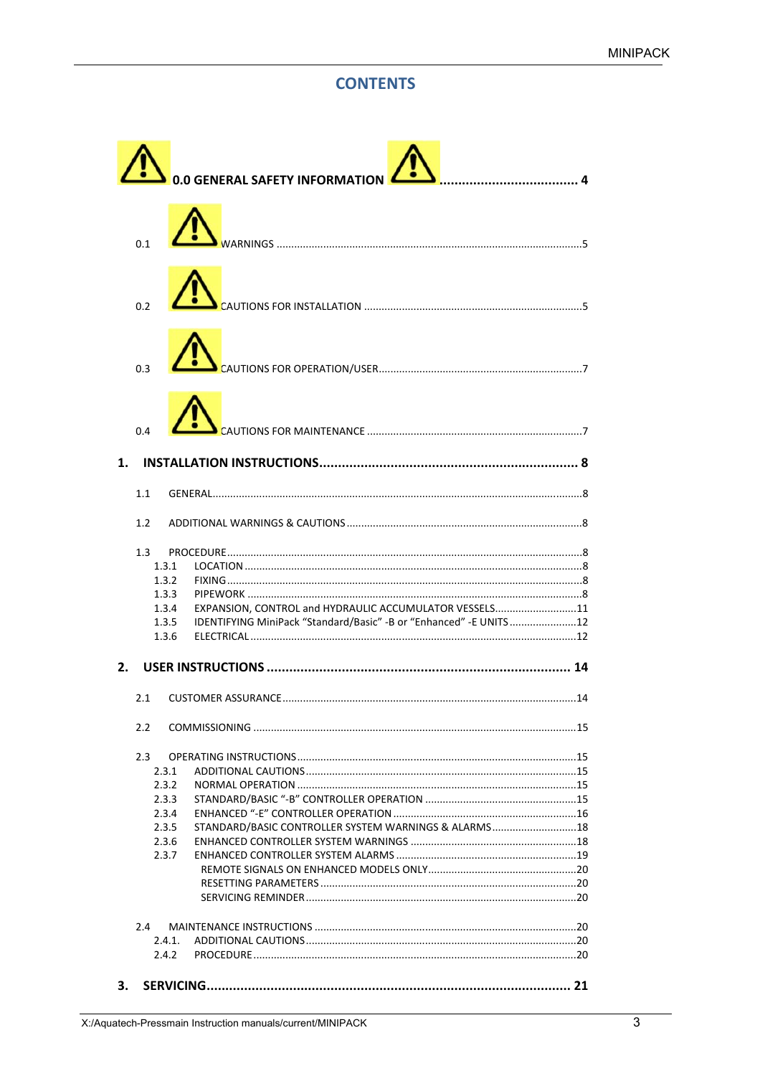## **CONTENTS**

|                | 0.0 GENERAL SAFETY INFORMATION                                                                                                |  |
|----------------|-------------------------------------------------------------------------------------------------------------------------------|--|
|                |                                                                                                                               |  |
| 0.2            |                                                                                                                               |  |
| 0.3            |                                                                                                                               |  |
| 0.4            |                                                                                                                               |  |
| 1.             |                                                                                                                               |  |
| 1.1            |                                                                                                                               |  |
| 1.2            |                                                                                                                               |  |
| 1.3            |                                                                                                                               |  |
| 1.3.1          |                                                                                                                               |  |
| 1.3.2          |                                                                                                                               |  |
| 1.3.3          |                                                                                                                               |  |
| 1.3.4<br>1.3.5 | EXPANSION, CONTROL and HYDRAULIC ACCUMULATOR VESSELS11<br>IDENTIFYING MiniPack "Standard/Basic" -B or "Enhanced" -E UNITS  12 |  |
| 1.3.6          |                                                                                                                               |  |
|                |                                                                                                                               |  |
| 2.             |                                                                                                                               |  |
| 2.1            |                                                                                                                               |  |
| 2.2            |                                                                                                                               |  |
| 2.3            |                                                                                                                               |  |
| 2.3.1          |                                                                                                                               |  |
| 2.3.2          |                                                                                                                               |  |
| 2.3.3          |                                                                                                                               |  |
| 2.3.4          |                                                                                                                               |  |
| 2.3.5          | STANDARD/BASIC CONTROLLER SYSTEM WARNINGS & ALARMS18                                                                          |  |
| 2.3.6          |                                                                                                                               |  |
| 2.3.7          |                                                                                                                               |  |
|                |                                                                                                                               |  |
|                |                                                                                                                               |  |
| 2.4            |                                                                                                                               |  |
| 2.4.1.         |                                                                                                                               |  |
| 2.4.2          |                                                                                                                               |  |
| З.             |                                                                                                                               |  |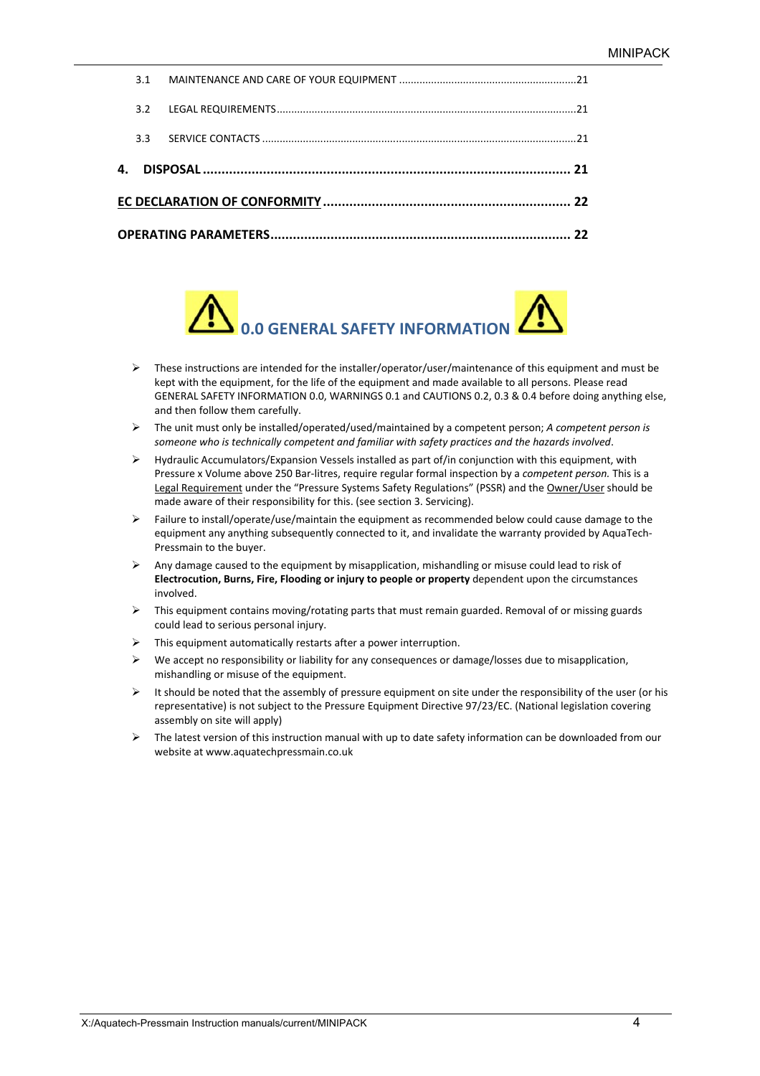| $3.3 -$ |  |
|---------|--|
| 3.2     |  |
|         |  |



- $\triangleright$  These instructions are intended for the installer/operator/user/maintenance of this equipment and must be kept with the equipment, for the life of the equipment and made available to all persons. Please read GENERAL SAFETY INFORMATION 0.0, WARNINGS 0.1 and CAUTIONS 0.2, 0.3 & 0.4 before doing anything else, and then follow them carefully.
- The unit must only be installed/operated/used/maintained by a competent person; *A competent person is someone who is technically competent and familiar with safety practices and the hazards involved*.
- $\triangleright$  Hydraulic Accumulators/Expansion Vessels installed as part of/in conjunction with this equipment, with Pressure x Volume above 250 Bar‐litres, require regular formal inspection by a *competent person.* This is a Legal Requirement under the "Pressure Systems Safety Regulations" (PSSR) and the Owner/User should be made aware of their responsibility for this. (see section 3. Servicing).
- $\triangleright$  Failure to install/operate/use/maintain the equipment as recommended below could cause damage to the equipment any anything subsequently connected to it, and invalidate the warranty provided by AquaTech‐ Pressmain to the buyer.
- $\triangleright$  Any damage caused to the equipment by misapplication, mishandling or misuse could lead to risk of **Electrocution, Burns, Fire, Flooding or injury to people or property** dependent upon the circumstances involved.
- $\triangleright$  This equipment contains moving/rotating parts that must remain guarded. Removal of or missing guards could lead to serious personal injury.
- $\triangleright$  This equipment automatically restarts after a power interruption.
- $\triangleright$  We accept no responsibility or liability for any consequences or damage/losses due to misapplication, mishandling or misuse of the equipment.
- $\triangleright$  It should be noted that the assembly of pressure equipment on site under the responsibility of the user (or his representative) is not subject to the Pressure Equipment Directive 97/23/EC. (National legislation covering assembly on site will apply)
- $\triangleright$  The latest version of this instruction manual with up to date safety information can be downloaded from our website at www.aquatechpressmain.co.uk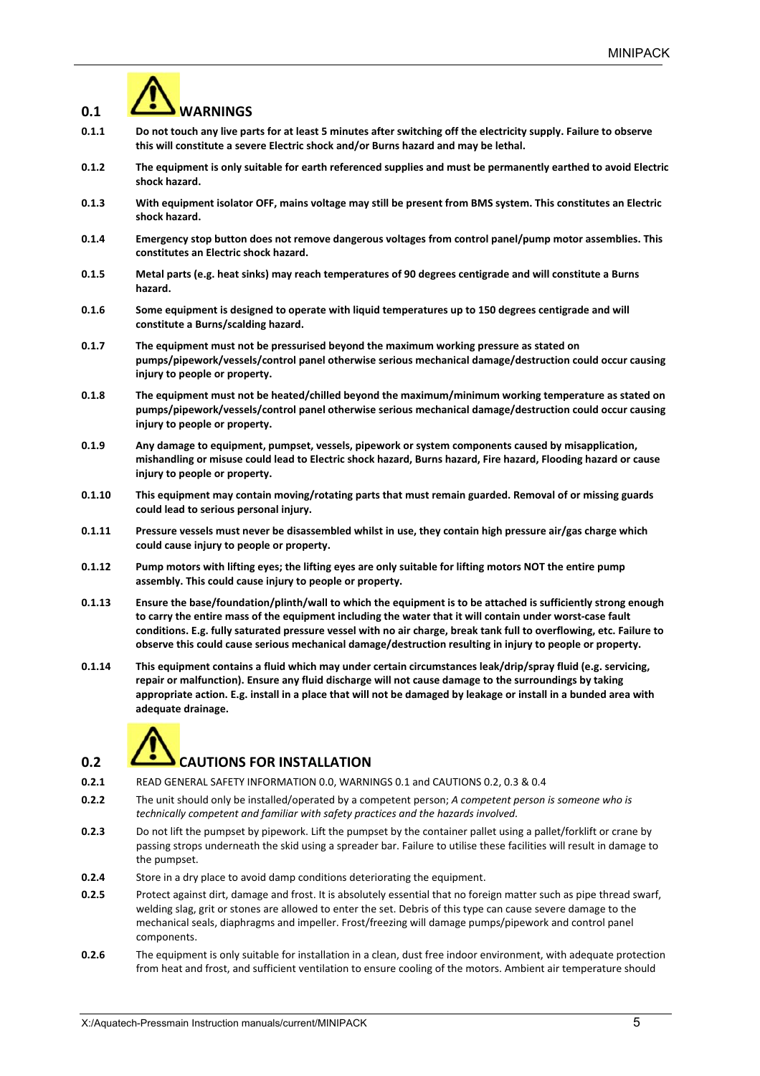# **0.1 WARNINGS**

- **0.1.1 Do not touch any live parts for at least 5 minutes after switching off the electricity supply. Failure to observe this will constitute a severe Electric shock and/or Burns hazard and may be lethal.**
- **0.1.2 The equipment is only suitable for earth referenced supplies and must be permanently earthed to avoid Electric shock hazard.**
- **0.1.3 With equipment isolator OFF, mains voltage may still be present from BMS system. This constitutes an Electric shock hazard.**
- **0.1.4 Emergency stop button does not remove dangerous voltages from control panel/pump motor assemblies. This constitutes an Electric shock hazard.**
- **0.1.5 Metal parts (e.g. heat sinks) may reach temperatures of 90 degrees centigrade and will constitute a Burns hazard.**
- **0.1.6 Some equipment is designed to operate with liquid temperatures up to 150 degrees centigrade and will constitute a Burns/scalding hazard.**
- **0.1.7 The equipment must not be pressurised beyond the maximum working pressure as stated on pumps/pipework/vessels/control panel otherwise serious mechanical damage/destruction could occur causing injury to people or property.**
- **0.1.8 The equipment must not be heated/chilled beyond the maximum/minimum working temperature as stated on pumps/pipework/vessels/control panel otherwise serious mechanical damage/destruction could occur causing injury to people or property.**
- **0.1.9 Any damage to equipment, pumpset, vessels, pipework or system components caused by misapplication, mishandling or misuse could lead to Electric shock hazard, Burns hazard, Fire hazard, Flooding hazard or cause injury to people or property.**
- **0.1.10 This equipment may contain moving/rotating parts that must remain guarded. Removal of or missing guards could lead to serious personal injury.**
- **0.1.11 Pressure vessels must never be disassembled whilst in use, they contain high pressure air/gas charge which could cause injury to people or property.**
- **0.1.12 Pump motors with lifting eyes; the lifting eyes are only suitable for lifting motors NOT the entire pump assembly. This could cause injury to people or property.**
- **0.1.13 Ensure the base/foundation/plinth/wall to which the equipment is to be attached is sufficiently strong enough to carry the entire mass of the equipment including the water that it will contain under worst‐case fault conditions. E.g. fully saturated pressure vessel with no air charge, break tank full to overflowing, etc. Failure to observe this could cause serious mechanical damage/destruction resulting in injury to people or property.**
- **0.1.14 This equipment contains a fluid which may under certain circumstances leak/drip/spray fluid (e.g. servicing, repair or malfunction). Ensure any fluid discharge will not cause damage to the surroundings by taking appropriate action. E.g. install in a place that will not be damaged by leakage or install in a bunded area with adequate drainage.**



## **0.2** *CAUTIONS FOR INSTALLATION*

- **0.2.1** READ GENERAL SAFETY INFORMATION 0.0, WARNINGS 0.1 and CAUTIONS 0.2, 0.3 & 0.4
- **0.2.2** The unit should only be installed/operated by a competent person; *A competent person is someone who is technically competent and familiar with safety practices and the hazards involved.*
- **0.2.3** Do not lift the pumpset by pipework. Lift the pumpset by the container pallet using a pallet/forklift or crane by passing strops underneath the skid using a spreader bar. Failure to utilise these facilities will result in damage to the pumpset.
- **0.2.4** Store in a dry place to avoid damp conditions deteriorating the equipment.
- **0.2.5** Protect against dirt, damage and frost. It is absolutely essential that no foreign matter such as pipe thread swarf, welding slag, grit or stones are allowed to enter the set. Debris of this type can cause severe damage to the mechanical seals, diaphragms and impeller. Frost/freezing will damage pumps/pipework and control panel components.
- **0.2.6** The equipment is only suitable for installation in a clean, dust free indoor environment, with adequate protection from heat and frost, and sufficient ventilation to ensure cooling of the motors. Ambient air temperature should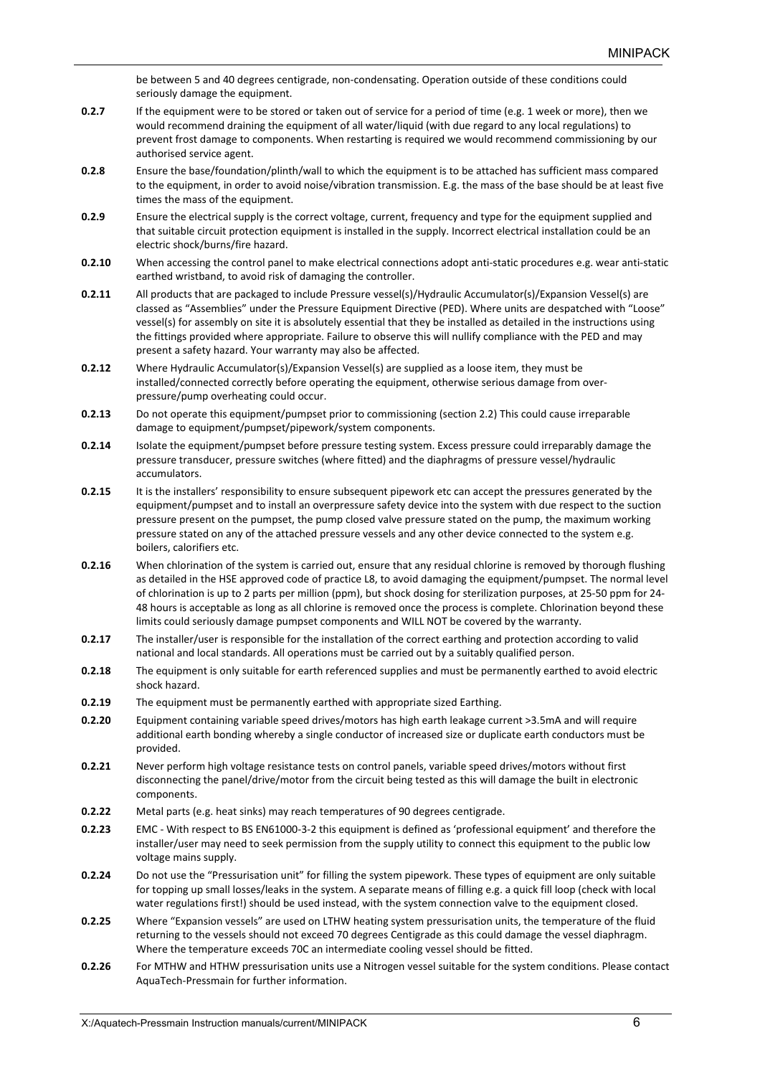be between 5 and 40 degrees centigrade, non-condensating. Operation outside of these conditions could seriously damage the equipment.

- **0.2.7** If the equipment were to be stored or taken out of service for a period of time (e.g. 1 week or more), then we would recommend draining the equipment of all water/liquid (with due regard to any local regulations) to prevent frost damage to components. When restarting is required we would recommend commissioning by our authorised service agent.
- **0.2.8** Ensure the base/foundation/plinth/wall to which the equipment is to be attached has sufficient mass compared to the equipment, in order to avoid noise/vibration transmission. E.g. the mass of the base should be at least five times the mass of the equipment.
- **0.2.9** Ensure the electrical supply is the correct voltage, current, frequency and type for the equipment supplied and that suitable circuit protection equipment is installed in the supply. Incorrect electrical installation could be an electric shock/burns/fire hazard.
- **0.2.10** When accessing the control panel to make electrical connections adopt anti‐static procedures e.g. wear anti‐static earthed wristband, to avoid risk of damaging the controller.
- **0.2.11** All products that are packaged to include Pressure vessel(s)/Hydraulic Accumulator(s)/Expansion Vessel(s) are classed as "Assemblies" under the Pressure Equipment Directive (PED). Where units are despatched with "Loose" vessel(s) for assembly on site it is absolutely essential that they be installed as detailed in the instructions using the fittings provided where appropriate. Failure to observe this will nullify compliance with the PED and may present a safety hazard. Your warranty may also be affected.
- **0.2.12** Where Hydraulic Accumulator(s)/Expansion Vessel(s) are supplied as a loose item, they must be installed/connected correctly before operating the equipment, otherwise serious damage from overpressure/pump overheating could occur.
- **0.2.13** Do not operate this equipment/pumpset prior to commissioning (section 2.2) This could cause irreparable damage to equipment/pumpset/pipework/system components.
- **0.2.14** Isolate the equipment/pumpset before pressure testing system. Excess pressure could irreparably damage the pressure transducer, pressure switches (where fitted) and the diaphragms of pressure vessel/hydraulic accumulators.
- **0.2.15** It is the installers' responsibility to ensure subsequent pipework etc can accept the pressures generated by the equipment/pumpset and to install an overpressure safety device into the system with due respect to the suction pressure present on the pumpset, the pump closed valve pressure stated on the pump, the maximum working pressure stated on any of the attached pressure vessels and any other device connected to the system e.g. boilers, calorifiers etc.
- **0.2.16** When chlorination of the system is carried out, ensure that any residual chlorine is removed by thorough flushing as detailed in the HSE approved code of practice L8, to avoid damaging the equipment/pumpset. The normal level of chlorination is up to 2 parts per million (ppm), but shock dosing for sterilization purposes, at 25‐50 ppm for 24‐ 48 hours is acceptable as long as all chlorine is removed once the process is complete. Chlorination beyond these limits could seriously damage pumpset components and WILL NOT be covered by the warranty.
- **0.2.17** The installer/user is responsible for the installation of the correct earthing and protection according to valid national and local standards. All operations must be carried out by a suitably qualified person.
- **0.2.18** The equipment is only suitable for earth referenced supplies and must be permanently earthed to avoid electric shock hazard.
- **0.2.19** The equipment must be permanently earthed with appropriate sized Earthing.
- **0.2.20** Equipment containing variable speed drives/motors has high earth leakage current >3.5mA and will require additional earth bonding whereby a single conductor of increased size or duplicate earth conductors must be provided.
- **0.2.21** Never perform high voltage resistance tests on control panels, variable speed drives/motors without first disconnecting the panel/drive/motor from the circuit being tested as this will damage the built in electronic components.
- **0.2.22** Metal parts (e.g. heat sinks) may reach temperatures of 90 degrees centigrade.
- **0.2.23** EMC ‐ With respect to BS EN61000‐3‐2 this equipment is defined as 'professional equipment' and therefore the installer/user may need to seek permission from the supply utility to connect this equipment to the public low voltage mains supply.
- **0.2.24** Do not use the "Pressurisation unit" for filling the system pipework. These types of equipment are only suitable for topping up small losses/leaks in the system. A separate means of filling e.g. a quick fill loop (check with local water regulations first!) should be used instead, with the system connection valve to the equipment closed.
- **0.2.25** Where "Expansion vessels" are used on LTHW heating system pressurisation units, the temperature of the fluid returning to the vessels should not exceed 70 degrees Centigrade as this could damage the vessel diaphragm. Where the temperature exceeds 70C an intermediate cooling vessel should be fitted.
- **0.2.26** For MTHW and HTHW pressurisation units use a Nitrogen vessel suitable for the system conditions. Please contact AquaTech‐Pressmain for further information.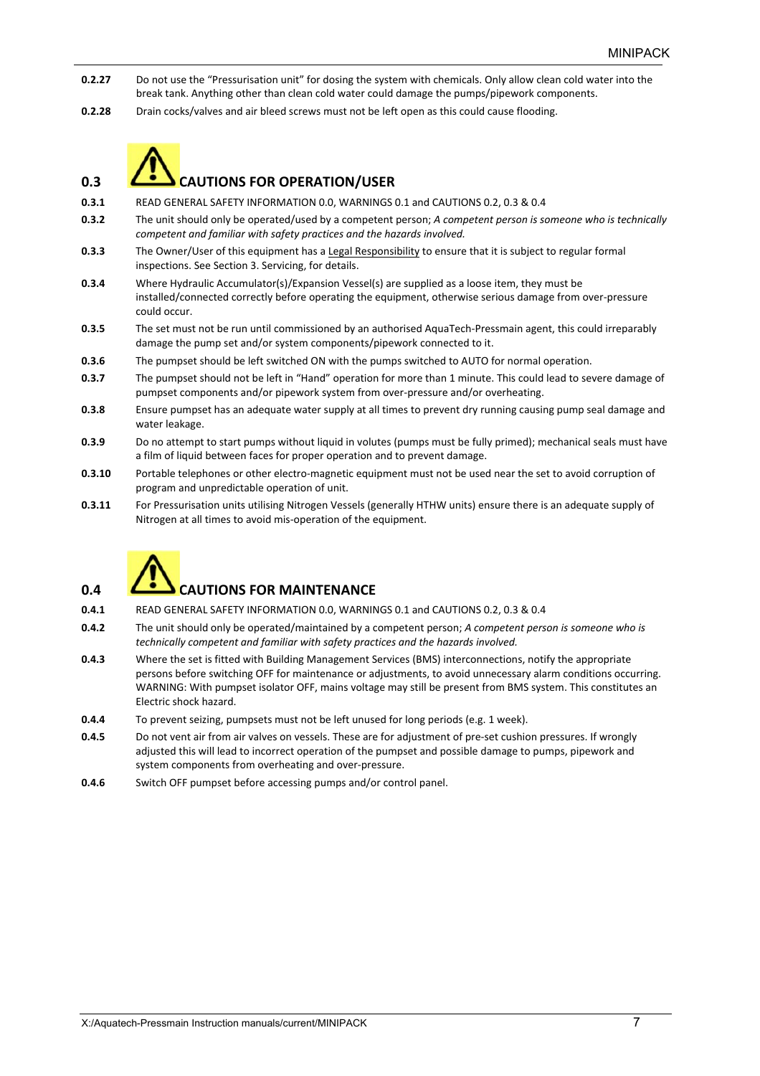- **0.2.27** Do not use the "Pressurisation unit" for dosing the system with chemicals. Only allow clean cold water into the break tank. Anything other than clean cold water could damage the pumps/pipework components.
- **0.2.28** Drain cocks/valves and air bleed screws must not be left open as this could cause flooding.



## **0.3 CAUTIONS FOR OPERATION/USER**

- **0.3.1** READ GENERAL SAFETY INFORMATION 0.0, WARNINGS 0.1 and CAUTIONS 0.2, 0.3 & 0.4
- **0.3.2** The unit should only be operated/used by a competent person; *A competent person is someone who is technically competent and familiar with safety practices and the hazards involved.*
- **0.3.3** The Owner/User of this equipment has a Legal Responsibility to ensure that it is subject to regular formal inspections. See Section 3. Servicing, for details.
- **0.3.4** Where Hydraulic Accumulator(s)/Expansion Vessel(s) are supplied as a loose item, they must be installed/connected correctly before operating the equipment, otherwise serious damage from over-pressure could occur.
- **0.3.5** The set must not be run until commissioned by an authorised AquaTech‐Pressmain agent, this could irreparably damage the pump set and/or system components/pipework connected to it.
- **0.3.6** The pumpset should be left switched ON with the pumps switched to AUTO for normal operation.
- **0.3.7** The pumpset should not be left in "Hand" operation for more than 1 minute. This could lead to severe damage of pumpset components and/or pipework system from over‐pressure and/or overheating.
- **0.3.8** Ensure pumpset has an adequate water supply at all times to prevent dry running causing pump seal damage and water leakage.
- **0.3.9** Do no attempt to start pumps without liquid in volutes (pumps must be fully primed); mechanical seals must have a film of liquid between faces for proper operation and to prevent damage.
- **0.3.10** Portable telephones or other electro-magnetic equipment must not be used near the set to avoid corruption of program and unpredictable operation of unit.
- **0.3.11** For Pressurisation units utilising Nitrogen Vessels (generally HTHW units) ensure there is an adequate supply of Nitrogen at all times to avoid mis‐operation of the equipment.



## **0.4 CAUTIONS FOR MAINTENANCE**

- **0.4.1** READ GENERAL SAFETY INFORMATION 0.0, WARNINGS 0.1 and CAUTIONS 0.2, 0.3 & 0.4
- **0.4.2** The unit should only be operated/maintained by a competent person; *A competent person is someone who is technically competent and familiar with safety practices and the hazards involved.*
- **0.4.3** Where the set is fitted with Building Management Services (BMS) interconnections, notify the appropriate persons before switching OFF for maintenance or adjustments, to avoid unnecessary alarm conditions occurring. WARNING: With pumpset isolator OFF, mains voltage may still be present from BMS system. This constitutes an Electric shock hazard.
- **0.4.4** To prevent seizing, pumpsets must not be left unused for long periods (e.g. 1 week).
- **0.4.5** Do not vent air from air valves on vessels. These are for adjustment of pre-set cushion pressures. If wrongly adjusted this will lead to incorrect operation of the pumpset and possible damage to pumps, pipework and system components from overheating and over‐pressure.
- **0.4.6** Switch OFF pumpset before accessing pumps and/or control panel.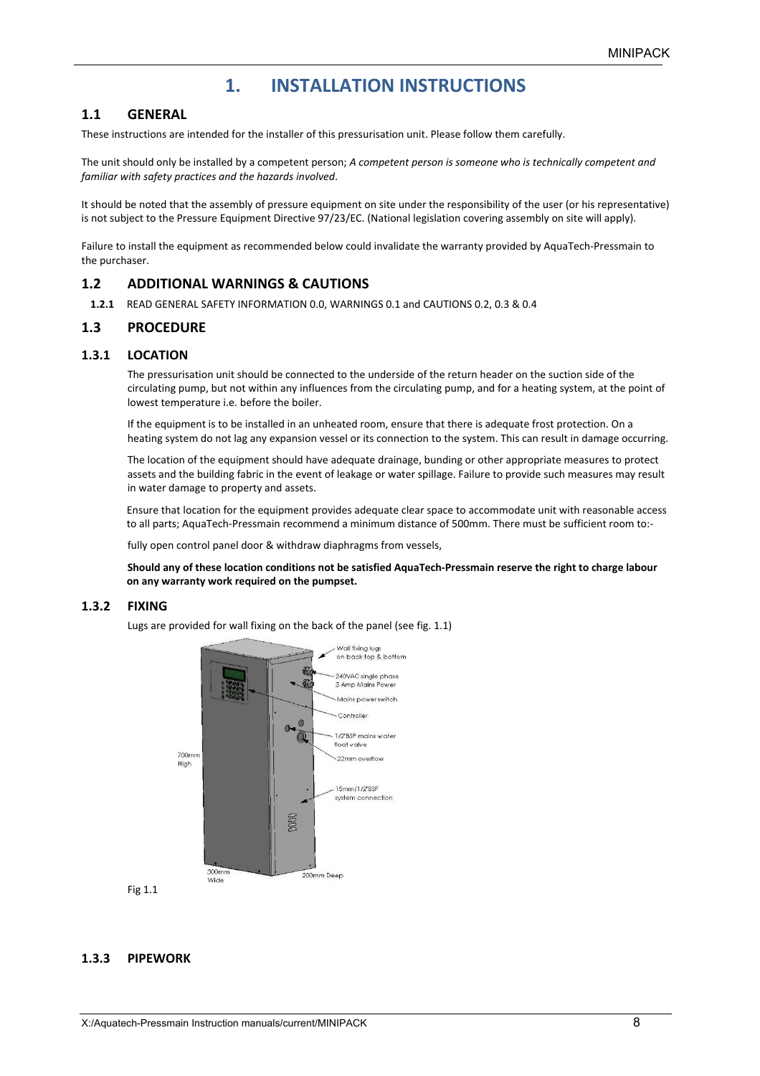## **1. INSTALLATION INSTRUCTIONS**

### **1.1 GENERAL**

These instructions are intended for the installer of this pressurisation unit. Please follow them carefully.

The unit should only be installed by a competent person; *A competent person is someone who is technically competent and familiar with safety practices and the hazards involved*.

It should be noted that the assembly of pressure equipment on site under the responsibility of the user (or his representative) is not subject to the Pressure Equipment Directive 97/23/EC. (National legislation covering assembly on site will apply).

Failure to install the equipment as recommended below could invalidate the warranty provided by AquaTech‐Pressmain to the purchaser.

### **1.2 ADDITIONAL WARNINGS & CAUTIONS**

**1.2.1** READ GENERAL SAFETY INFORMATION 0.0, WARNINGS 0.1 and CAUTIONS 0.2, 0.3 & 0.4

### **1.3 PROCEDURE**

#### **1.3.1 LOCATION**

The pressurisation unit should be connected to the underside of the return header on the suction side of the circulating pump, but not within any influences from the circulating pump, and for a heating system, at the point of lowest temperature i.e. before the boiler.

If the equipment is to be installed in an unheated room, ensure that there is adequate frost protection. On a heating system do not lag any expansion vessel or its connection to the system. This can result in damage occurring.

The location of the equipment should have adequate drainage, bunding or other appropriate measures to protect assets and the building fabric in the event of leakage or water spillage. Failure to provide such measures may result in water damage to property and assets.

Ensure that location for the equipment provides adequate clear space to accommodate unit with reasonable access to all parts; AquaTech-Pressmain recommend a minimum distance of 500mm. There must be sufficient room to:-

fully open control panel door & withdraw diaphragms from vessels,

**Should any of these location conditions not be satisfied AquaTech‐Pressmain reserve the right to charge labour on any warranty work required on the pumpset.** 

#### **1.3.2 FIXING**

Lugs are provided for wall fixing on the back of the panel (see fig. 1.1)



Fig 1.1

#### **1.3.3 PIPEWORK**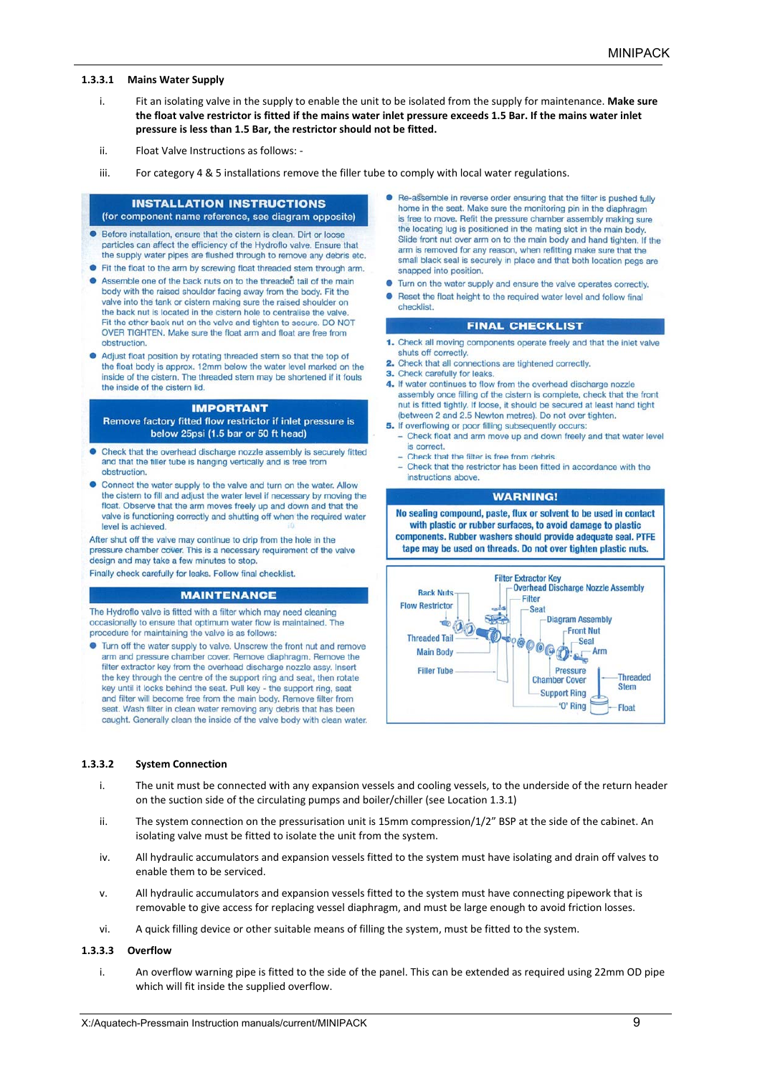#### **1.3.3.1 Mains Water Supply**

- i. Fit an isolating valve in the supply to enable the unit to be isolated from the supply for maintenance. **Make sure the float valve restrictor is fitted if the mains water inlet pressure exceeds 1.5 Bar. If the mains water inlet pressure is less than 1.5 Bar, the restrictor should not be fitted.**
- ii. Float Valve Instructions as follows: ‐
- iii. For category 4 & 5 installations remove the filler tube to comply with local water regulations.

#### **INSTALLATION INSTRUCTIONS** (for component name reference, see diagram opposite)

- Before installation, ensure that the cistern is clean. Dirt or loose particles can affect the efficiency of the Hydroflo valve. Ensure that the supply water pipes are flushed through to remove any debris etc.
- Fit the float to the arm by screwing float threaded stem through arm.
- Assemble one of the back nuts on to the threaded tail of the main body with the raised shoulder facing away from the body. Fit the valve into the tank or cistern making sure the raised shoulder on the back nut is located in the cistern hole to centralise the valve. Fit the other back nut on the valve and tighten to secure. DO NOT OVER TIGHTEN. Make sure the float arm and float are free from obstruction
- Adjust float position by rotating threaded stem so that the top of the float body is approx. 12mm below the water level marked on the inside of the cistern. The threaded stem may be shortened if it fouls the inside of the cistern lid.

#### **IMPORTANT**

Remove factory fitted flow restrictor if inlet pressure is below 25psi (1.5 bar or 50 ft head)

- Check that the overhead discharge nozzle assembly is securely fitted and that the filler tube is hanging vertically and is free from obstruction.
- Connect the water supply to the valve and turn on the water. Allow the cistern to fill and adjust the water level if necessary by moving the float. Observe that the arm moves freely up and down and that the valve is functioning correctly and shutting off when the required water level is achieved.

After shut off the valve may continue to drip from the hole in the pressure chamber cover. This is a necessary requirement of the valve design and may take a few minutes to stop

Finally check carefully for leaks. Follow final checklist.

#### **MAINTENANCE**

The Hydroflo valve is fitted with a filter which may need cleaning occasionally to ensure that optimum water flow is maintained. The procedure for maintaining the valve is as follows:

• Turn off the water supply to valve. Unscrew the front nut and remove arm and pressure chamber cover. Remove diaphragm. Remove the filter extractor key from the overhead discharge nozzle assy. Insert the key through the centre of the support ring and seat, then rotate key until it locks behind the seat. Pull key - the support ring, seat and filter will become free from the main body. Remove filter from seat. Wash filter in clean water removing any debris that has been caught. Generally clean the inside of the valve body with clean water.

- Re-assemble in reverse order ensuring that the filter is pushed fully home in the seat. Make sure the monitoring pin in the diaphragm is free to move. Refit the pressure chamber assembly making sure the locating lug is positioned in the mating slot in the main body. Slide front nut over arm on to the main body and hand tighten. If the arm is removed for any reason, when refitting make sure that the small black seal is securely in place and that both location pegs are snapped into position.
- Turn on the water supply and ensure the valve operates correctly.
- $\bullet$ Reset the float height to the required water level and follow final checklist

#### **FINAL CHECKLIST**

- 1. Check all moving components operate freely and that the inlet valve shuts off correctly.
- 2. Check that all connections are tightened correctly.
- 3. Check carefully for leaks.
- 4. If water continues to flow from the overhead discharge nozzle assembly once filling of the cistern is complete, check that the front nut is fitted tightly. If loose, it should be secured at least hand tight (between 2 and 2.5 Newton metres). Do not over tighten.
- 5. If overflowing or poor filling subsequently occurs: - Check float and arm move up and down freely and that water level is correct.
	- Check that the filter is free from debris.
	- Check that the restrictor has been fitted in accordance with the instructions above.

#### **WARNING!**

No sealing compound, paste, flux or solvent to be used in contact with plastic or rubber surfaces, to avoid damage to plastic components. Rubber washers should provide adequate seal. PTFE tape may be used on threads. Do not over tighten plastic nuts.



#### **1.3.3.2 System Connection**

- i. The unit must be connected with any expansion vessels and cooling vessels, to the underside of the return header on the suction side of the circulating pumps and boiler/chiller (see Location 1.3.1)
- ii. The system connection on the pressurisation unit is 15mm compression/1/2" BSP at the side of the cabinet. An isolating valve must be fitted to isolate the unit from the system.
- iv. All hydraulic accumulators and expansion vessels fitted to the system must have isolating and drain off valves to enable them to be serviced.
- v. All hydraulic accumulators and expansion vessels fitted to the system must have connecting pipework that is removable to give access for replacing vessel diaphragm, and must be large enough to avoid friction losses.
- vi. A quick filling device or other suitable means of filling the system, must be fitted to the system.

#### **1.3.3.3 Overflow**

i. An overflow warning pipe is fitted to the side of the panel. This can be extended as required using 22mm OD pipe which will fit inside the supplied overflow.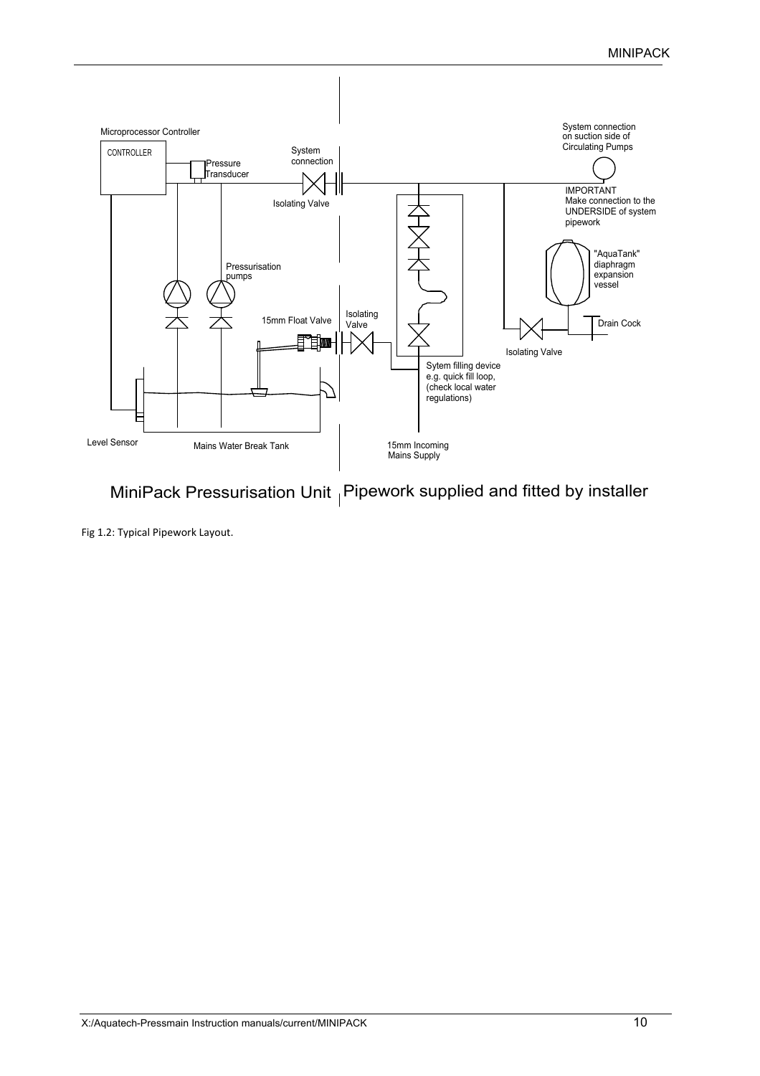

MiniPack Pressurisation Unit  $|$  Pipework supplied and fitted by installer

Fig 1.2: Typical Pipework Layout.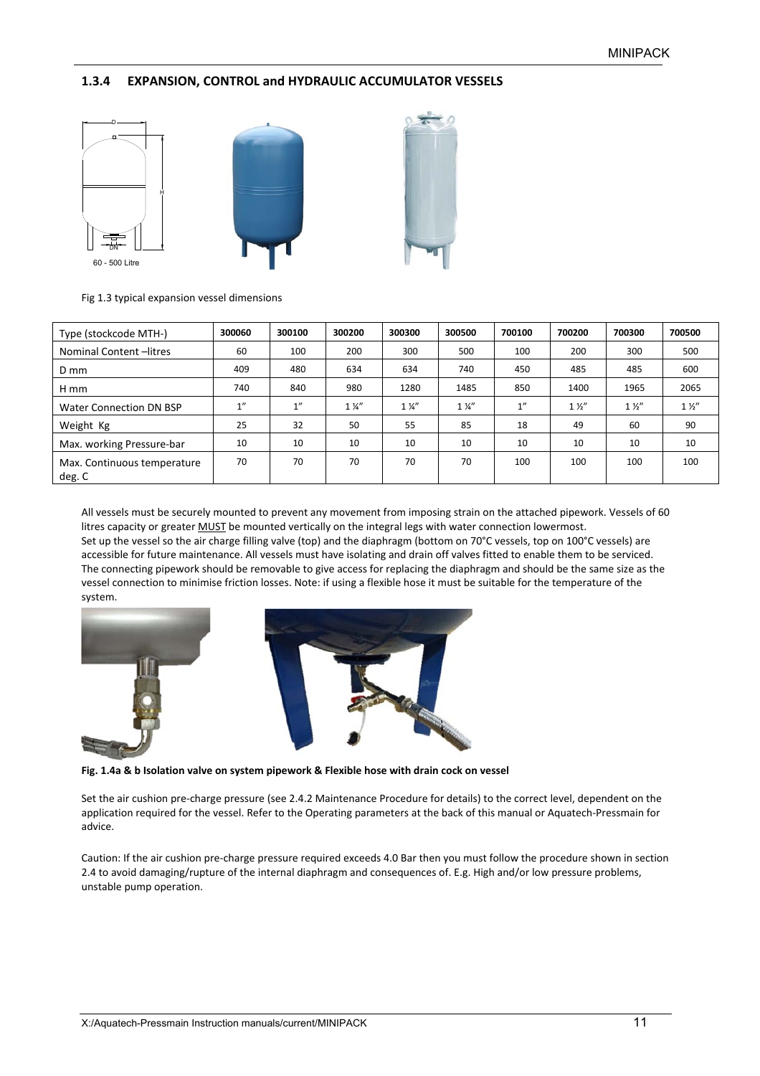### **1.3.4 EXPANSION, CONTROL and HYDRAULIC ACCUMULATOR VESSELS**



Fig 1.3 typical expansion vessel dimensions

| Type (stockcode MTH-)                 | 300060 | 300100 | 300200         | 300300         | 300500         | 700100 | 700200         | 700300         | 700500         |
|---------------------------------------|--------|--------|----------------|----------------|----------------|--------|----------------|----------------|----------------|
| Nominal Content-litres                | 60     | 100    | 200            | 300            | 500            | 100    | 200            | 300            | 500            |
| D mm                                  | 409    | 480    | 634            | 634            | 740            | 450    | 485            | 485            | 600            |
| H mm                                  | 740    | 840    | 980            | 1280           | 1485           | 850    | 1400           | 1965           | 2065           |
| Water Connection DN BSP               | 1"     | 1''    | $1\frac{1}{4}$ | $1\frac{1}{4}$ | $1\frac{1}{4}$ | 1''    | $1\frac{1}{2}$ | $1\frac{1}{2}$ | $1\frac{1}{2}$ |
| Weight Kg                             | 25     | 32     | 50             | 55             | 85             | 18     | 49             | 60             | 90             |
| Max. working Pressure-bar             | 10     | 10     | 10             | 10             | 10             | 10     | 10             | 10             | 10             |
| Max. Continuous temperature<br>deg. C | 70     | 70     | 70             | 70             | 70             | 100    | 100            | 100            | 100            |

All vessels must be securely mounted to prevent any movement from imposing strain on the attached pipework. Vessels of 60 litres capacity or greater MUST be mounted vertically on the integral legs with water connection lowermost. Set up the vessel so the air charge filling valve (top) and the diaphragm (bottom on 70°C vessels, top on 100°C vessels) are accessible for future maintenance. All vessels must have isolating and drain off valves fitted to enable them to be serviced. The connecting pipework should be removable to give access for replacing the diaphragm and should be the same size as the vessel connection to minimise friction losses. Note: if using a flexible hose it must be suitable for the temperature of the system.



**Fig. 1.4a & b Isolation valve on system pipework & Flexible hose with drain cock on vessel** 

Set the air cushion pre-charge pressure (see 2.4.2 Maintenance Procedure for details) to the correct level, dependent on the application required for the vessel. Refer to the Operating parameters at the back of this manual or Aquatech‐Pressmain for advice.

Caution: If the air cushion pre‐charge pressure required exceeds 4.0 Bar then you must follow the procedure shown in section 2.4 to avoid damaging/rupture of the internal diaphragm and consequences of. E.g. High and/or low pressure problems, unstable pump operation.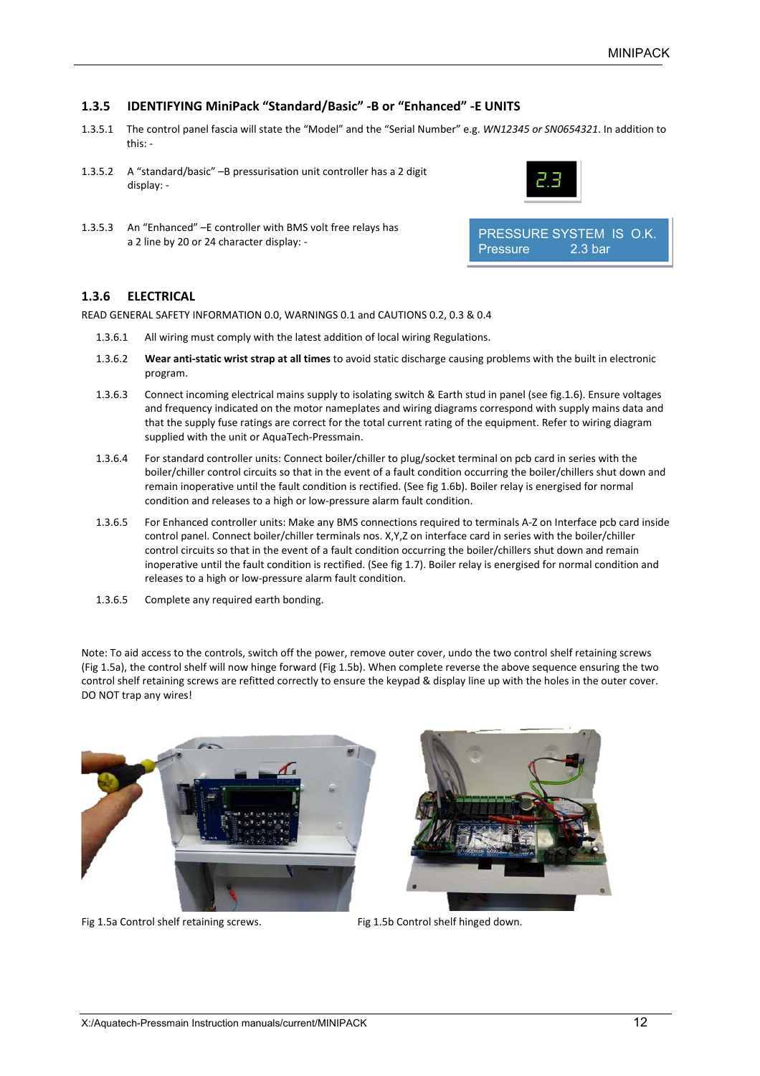#### **1.3.5 IDENTIFYING MiniPack "Standard/Basic" ‐B or "Enhanced" ‐E UNITS**

- 1.3.5.1 The control panel fascia will state the "Model" and the "Serial Number" e.g. *WN12345 or SN0654321*. In addition to this: ‐
- 1.3.5.2 A "standard/basic" –B pressurisation unit controller has a 2 digit display: ‐
- 1.3.5.3 An "Enhanced" –E controller with BMS volt free relays has a 2 line by 20 or 24 character display: ‐



#### **1.3.6 ELECTRICAL**

READ GENERAL SAFETY INFORMATION 0.0, WARNINGS 0.1 and CAUTIONS 0.2, 0.3 & 0.4

- 1.3.6.1 All wiring must comply with the latest addition of local wiring Regulations.
- 1.3.6.2 **Wear anti‐static wrist strap at all times** to avoid static discharge causing problems with the built in electronic program.
- 1.3.6.3 Connect incoming electrical mains supply to isolating switch & Earth stud in panel (see fig.1.6). Ensure voltages and frequency indicated on the motor nameplates and wiring diagrams correspond with supply mains data and that the supply fuse ratings are correct for the total current rating of the equipment. Refer to wiring diagram supplied with the unit or AquaTech‐Pressmain.
- 1.3.6.4 For standard controller units: Connect boiler/chiller to plug/socket terminal on pcb card in series with the boiler/chiller control circuits so that in the event of a fault condition occurring the boiler/chillers shut down and remain inoperative until the fault condition is rectified. (See fig 1.6b). Boiler relay is energised for normal condition and releases to a high or low‐pressure alarm fault condition.
- 1.3.6.5 For Enhanced controller units: Make any BMS connections required to terminals A‐Z on Interface pcb card inside control panel. Connect boiler/chiller terminals nos. X,Y,Z on interface card in series with the boiler/chiller control circuits so that in the event of a fault condition occurring the boiler/chillers shut down and remain inoperative until the fault condition is rectified. (See fig 1.7). Boiler relay is energised for normal condition and releases to a high or low‐pressure alarm fault condition.
- 1.3.6.5 Complete any required earth bonding.

Note: To aid access to the controls, switch off the power, remove outer cover, undo the two control shelf retaining screws (Fig 1.5a), the control shelf will now hinge forward (Fig 1.5b). When complete reverse the above sequence ensuring the two control shelf retaining screws are refitted correctly to ensure the keypad & display line up with the holes in the outer cover. DO NOT trap any wires!



Fig 1.5a Control shelf retaining screws. The Section of Fig 1.5b Control shelf hinged down.

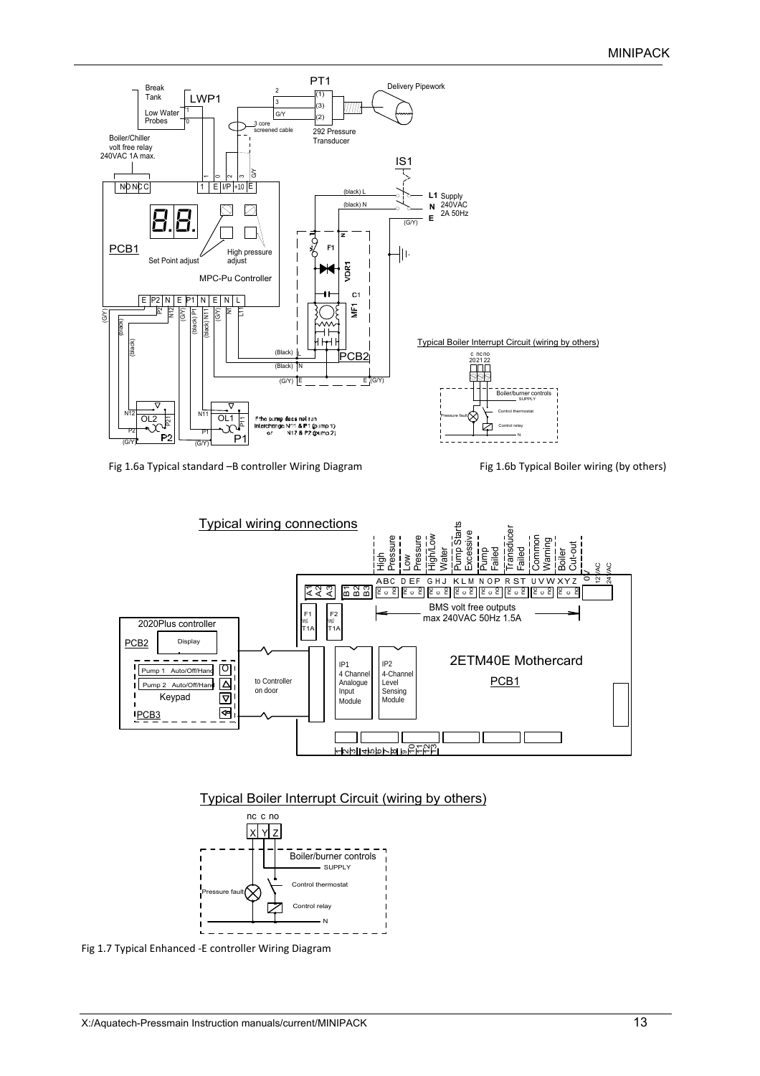

Fig 1.6a Typical standard -B controller Wiring Diagram Fig 1.6b Typical Boiler wiring (by others)







Fig 1.7 Typical Enhanced ‐E controller Wiring Diagram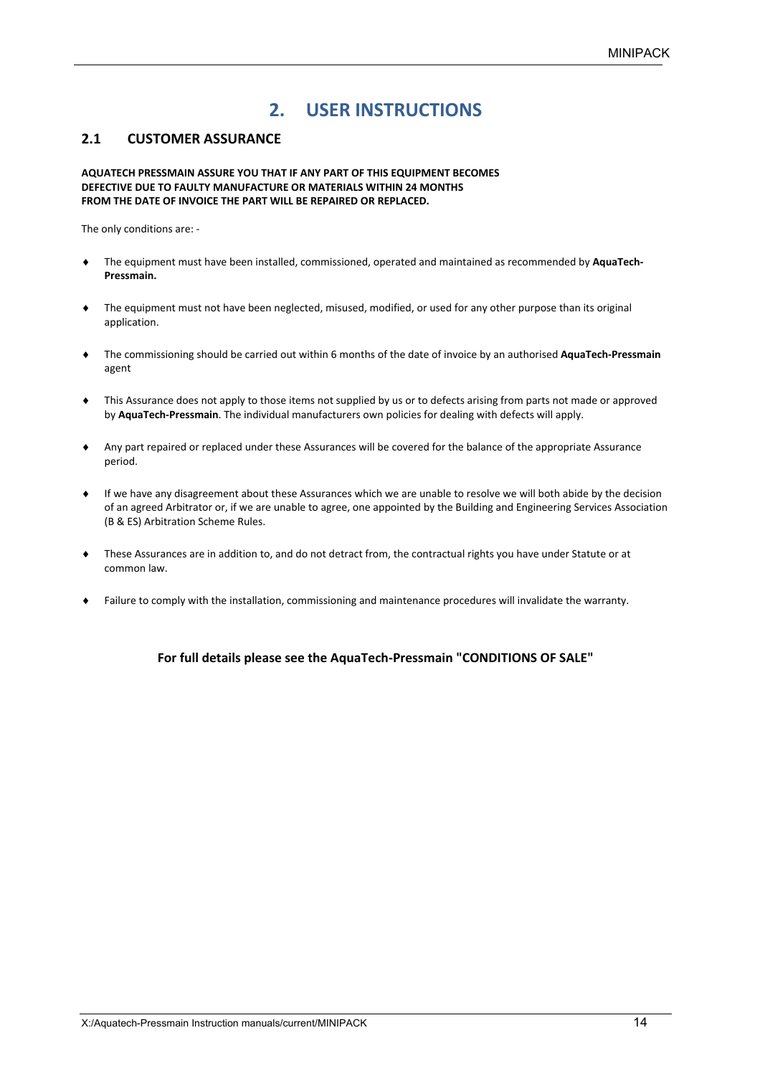## **2. USER INSTRUCTIONS**

### **2.1 CUSTOMER ASSURANCE**

**AQUATECH PRESSMAIN ASSURE YOU THAT IF ANY PART OF THIS EQUIPMENT BECOMES DEFECTIVE DUE TO FAULTY MANUFACTURE OR MATERIALS WITHIN 24 MONTHS FROM THE DATE OF INVOICE THE PART WILL BE REPAIRED OR REPLACED.**

The only conditions are: ‐

- The equipment must have been installed, commissioned, operated and maintained as recommended by **AquaTech‐ Pressmain.**
- The equipment must not have been neglected, misused, modified, or used for any other purpose than its original application.
- The commissioning should be carried out within 6 months of the date of invoice by an authorised **AquaTech‐Pressmain**  agent
- This Assurance does not apply to those items not supplied by us or to defects arising from parts not made or approved by **AquaTech‐Pressmain**. The individual manufacturers own policies for dealing with defects will apply.
- Any part repaired or replaced under these Assurances will be covered for the balance of the appropriate Assurance period.
- If we have any disagreement about these Assurances which we are unable to resolve we will both abide by the decision of an agreed Arbitrator or, if we are unable to agree, one appointed by the Building and Engineering Services Association (B & ES) Arbitration Scheme Rules.
- These Assurances are in addition to, and do not detract from, the contractual rights you have under Statute or at common law.
- Failure to comply with the installation, commissioning and maintenance procedures will invalidate the warranty.

### **For full details please see the AquaTech‐Pressmain "CONDITIONS OF SALE"**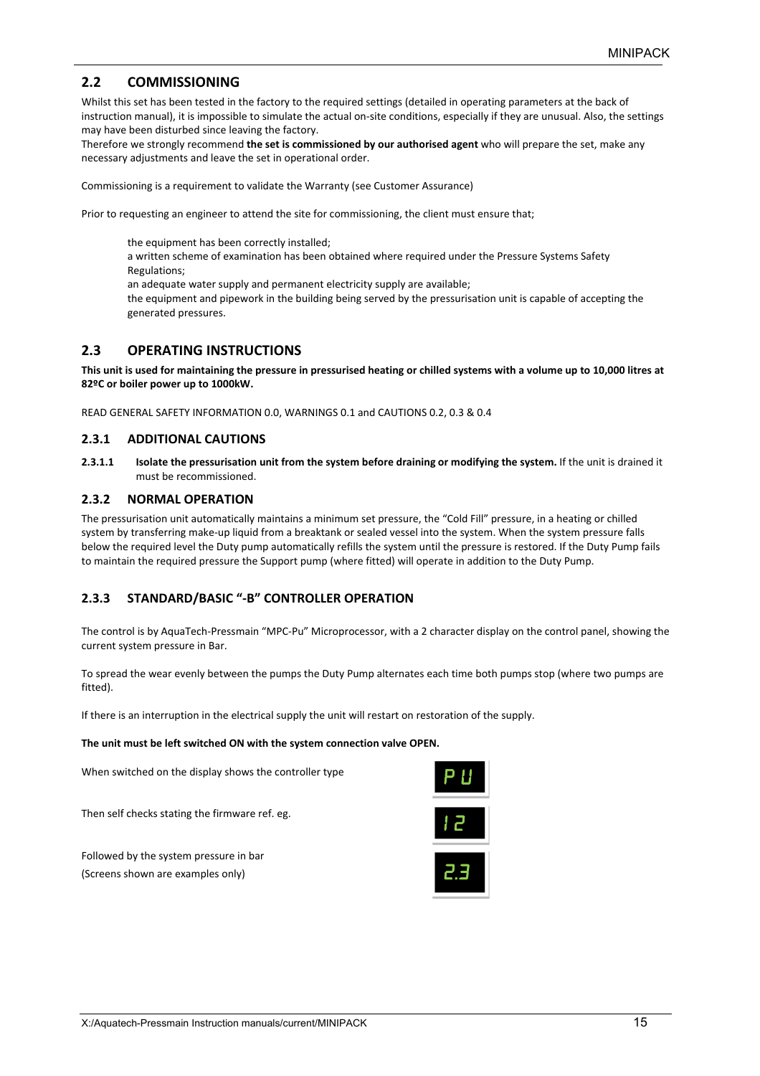## **2.2 COMMISSIONING**

Whilst this set has been tested in the factory to the required settings (detailed in operating parameters at the back of instruction manual), it is impossible to simulate the actual on‐site conditions, especially if they are unusual. Also, the settings may have been disturbed since leaving the factory.

Therefore we strongly recommend **the set is commissioned by our authorised agent** who will prepare the set, make any necessary adjustments and leave the set in operational order.

Commissioning is a requirement to validate the Warranty (see Customer Assurance)

Prior to requesting an engineer to attend the site for commissioning, the client must ensure that;

the equipment has been correctly installed;

a written scheme of examination has been obtained where required under the Pressure Systems Safety Regulations;

an adequate water supply and permanent electricity supply are available;

the equipment and pipework in the building being served by the pressurisation unit is capable of accepting the generated pressures.

### **2.3 OPERATING INSTRUCTIONS**

**This unit is used for maintaining the pressure in pressurised heating or chilled systems with a volume up to 10,000 litres at 82ºC or boiler power up to 1000kW.** 

READ GENERAL SAFETY INFORMATION 0.0, WARNINGS 0.1 and CAUTIONS 0.2, 0.3 & 0.4

#### **2.3.1 ADDITIONAL CAUTIONS**

**2.3.1.1 Isolate the pressurisation unit from the system before draining or modifying the system.** If the unit is drained it must be recommissioned.

#### **2.3.2 NORMAL OPERATION**

The pressurisation unit automatically maintains a minimum set pressure, the "Cold Fill" pressure, in a heating or chilled system by transferring make‐up liquid from a breaktank or sealed vessel into the system. When the system pressure falls below the required level the Duty pump automatically refills the system until the pressure is restored. If the Duty Pump fails to maintain the required pressure the Support pump (where fitted) will operate in addition to the Duty Pump.

#### **2.3.3 STANDARD/BASIC "‐B" CONTROLLER OPERATION**

The control is by AquaTech‐Pressmain "MPC‐Pu" Microprocessor, with a 2 character display on the control panel, showing the current system pressure in Bar.

To spread the wear evenly between the pumps the Duty Pump alternates each time both pumps stop (where two pumps are fitted).

If there is an interruption in the electrical supply the unit will restart on restoration of the supply.

#### **The unit must be left switched ON with the system connection valve OPEN.**

When switched on the display shows the controller type

Then self checks stating the firmware ref. eg.

Followed by the system pressure in bar (Screens shown are examples only)

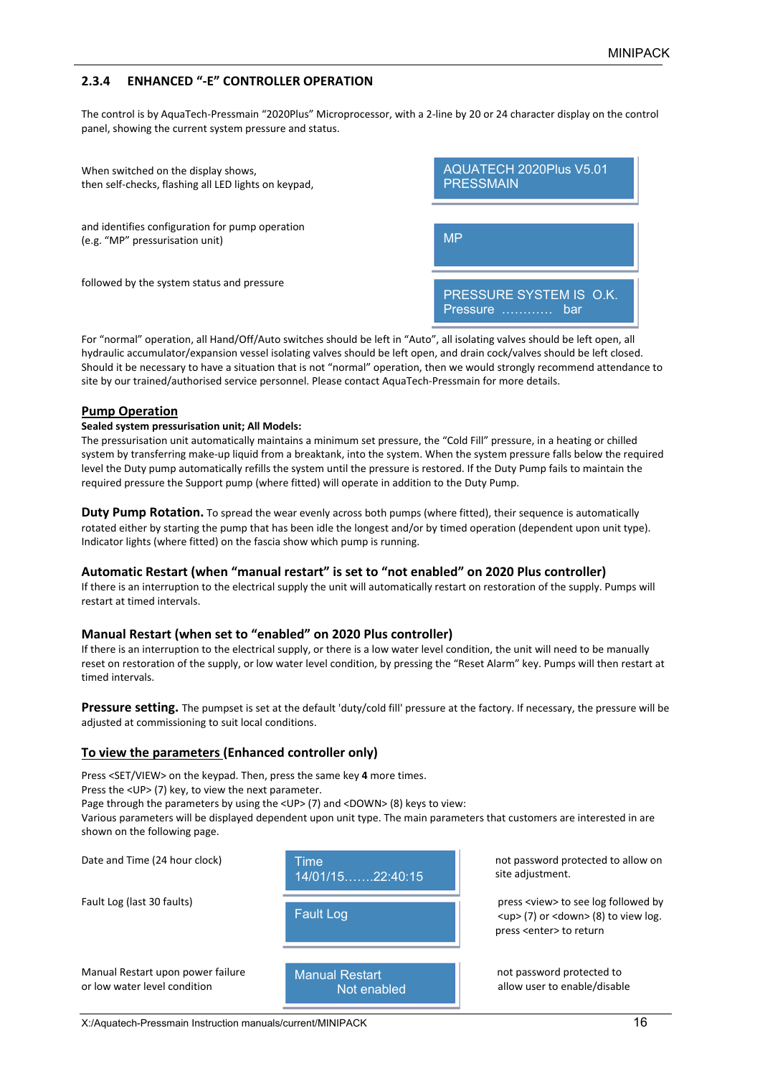## **2.3.4 ENHANCED "‐E" CONTROLLER OPERATION**

The control is by AquaTech‐Pressmain "2020Plus" Microprocessor, with a 2‐line by 20 or 24 character display on the control panel, showing the current system pressure and status.

| When switched on the display shows,<br>then self-checks, flashing all LED lights on keypad, | AQUATECH 2020Plus V5.01<br><b>PRESSMAIN</b> |
|---------------------------------------------------------------------------------------------|---------------------------------------------|
| and identifies configuration for pump operation<br>(e.g. "MP" pressurisation unit)          | <b>MP</b>                                   |
| followed by the system status and pressure                                                  | PRESSURE SYSTEM IS O.K.<br>Pressure<br>-bar |

For "normal" operation, all Hand/Off/Auto switches should be left in "Auto", all isolating valves should be left open, all hydraulic accumulator/expansion vessel isolating valves should be left open, and drain cock/valves should be left closed. Should it be necessary to have a situation that is not "normal" operation, then we would strongly recommend attendance to site by our trained/authorised service personnel. Please contact AquaTech-Pressmain for more details.

#### **Pump Operation**

#### **Sealed system pressurisation unit; All Models:**

The pressurisation unit automatically maintains a minimum set pressure, the "Cold Fill" pressure, in a heating or chilled system by transferring make-up liquid from a breaktank, into the system. When the system pressure falls below the required level the Duty pump automatically refills the system until the pressure is restored. If the Duty Pump fails to maintain the required pressure the Support pump (where fitted) will operate in addition to the Duty Pump.

**Duty Pump Rotation.** To spread the wear evenly across both pumps (where fitted), their sequence is automatically rotated either by starting the pump that has been idle the longest and/or by timed operation (dependent upon unit type). Indicator lights (where fitted) on the fascia show which pump is running.

#### **Automatic Restart (when "manual restart" is set to "not enabled" on 2020 Plus controller)**

If there is an interruption to the electrical supply the unit will automatically restart on restoration of the supply. Pumps will restart at timed intervals.

#### **Manual Restart (when set to "enabled" on 2020 Plus controller)**

If there is an interruption to the electrical supply, or there is a low water level condition, the unit will need to be manually reset on restoration of the supply, or low water level condition, by pressing the "Reset Alarm" key. Pumps will then restart at timed intervals.

Pressure setting. The pumpset is set at the default 'duty/cold fill' pressure at the factory. If necessary, the pressure will be adjusted at commissioning to suit local conditions.

#### **To view the parameters (Enhanced controller only)**

Press <SET/VIEW> on the keypad. Then, press the same key **4** more times.

Press the <UP> (7) key, to view the next parameter.

Page through the parameters by using the <UP> (7) and <DOWN> (8) keys to view:

Various parameters will be displayed dependent upon unit type. The main parameters that customers are interested in are shown on the following page.

| Date and Time (24 hour clock)                                     | Time<br>$14/01/15$ 22:40:15          | not password protected to<br>site adjustment.                                                                                                       |
|-------------------------------------------------------------------|--------------------------------------|-----------------------------------------------------------------------------------------------------------------------------------------------------|
| Fault Log (last 30 faults)                                        | <b>Fault Log</b>                     | press <view> to see log foll<br/><math>\langle</math>up&gt; (7) or <math>\langle</math>down&gt; (8) to v<br/>press <enter> to return</enter></view> |
| Manual Restart upon power failure<br>or low water level condition | <b>Manual Restart</b><br>Not enabled | not password protected to<br>allow user to enable/disabl                                                                                            |

protected to allow on nt.

to see log followed by down> (8) to view log. to return

enable/disable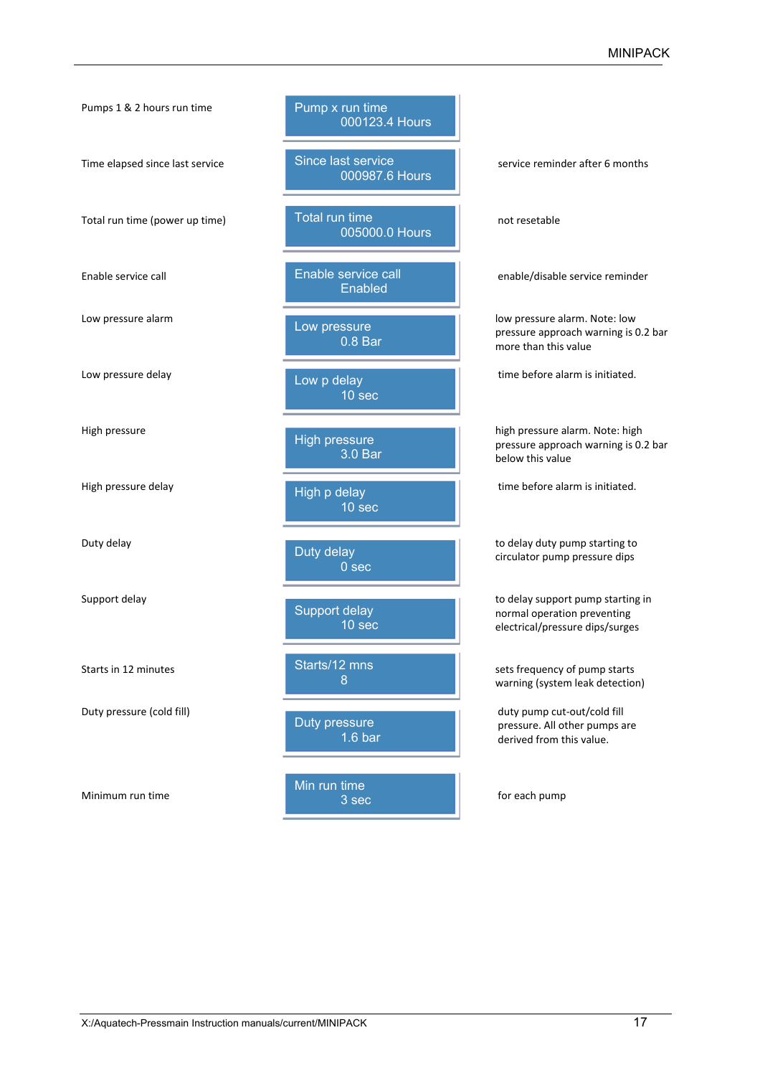| Pumps 1 & 2 hours run time      | Pump x run time<br>000123.4 Hours       |                                                                                                     |
|---------------------------------|-----------------------------------------|-----------------------------------------------------------------------------------------------------|
| Time elapsed since last service | Since last service<br>000987.6 Hours    | service reminder after 6 months                                                                     |
| Total run time (power up time)  | <b>Total run time</b><br>005000.0 Hours | not resetable                                                                                       |
| Enable service call             | Enable service call<br>Enabled          | enable/disable service reminder                                                                     |
| Low pressure alarm              | Low pressure<br>0.8 Bar                 | low pressure alarm. Note: low<br>pressure approach warning is 0.2 bar<br>more than this value       |
| Low pressure delay              | Low p delay<br>10 sec                   | time before alarm is initiated.                                                                     |
| High pressure                   | <b>High pressure</b><br>3.0 Bar         | high pressure alarm. Note: high<br>pressure approach warning is 0.2 bar<br>below this value         |
| High pressure delay             | High p delay<br>10 sec                  | time before alarm is initiated.                                                                     |
| Duty delay                      | Duty delay<br>0 <sub>sec</sub>          | to delay duty pump starting to<br>circulator pump pressure dips                                     |
| Support delay                   | Support delay<br>10 sec                 | to delay support pump starting in<br>normal operation preventing<br>electrical/pressure dips/surges |
| Starts in 12 minutes            | Starts/12 mns<br>8                      | sets frequency of pump starts<br>warning (system leak detection)                                    |
| Duty pressure (cold fill)       | Duty pressure<br>$1.6b$ ar              | duty pump cut-out/cold fill<br>pressure. All other pumps are<br>derived from this value.            |
| Minimum run time                | Min run time<br>3 <sub>sec</sub>        | for each pump                                                                                       |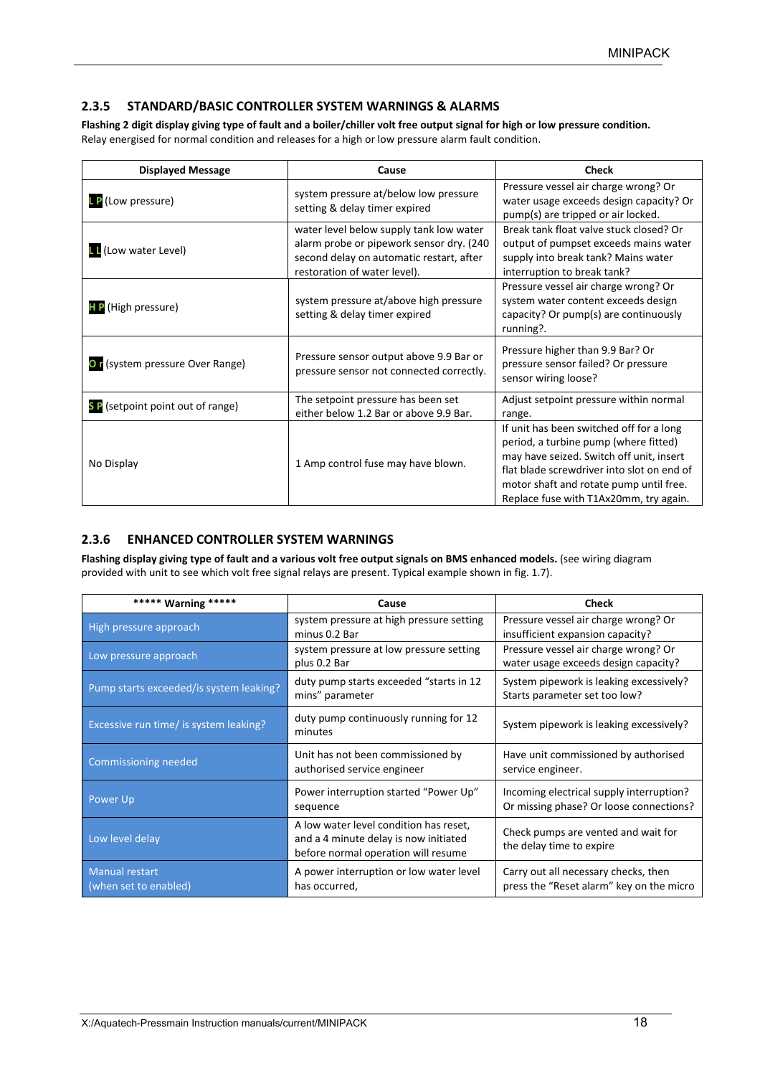## **2.3.5 STANDARD/BASIC CONTROLLER SYSTEM WARNINGS & ALARMS**

**Flashing 2 digit display giving type of fault and a boiler/chiller volt free output signal for high or low pressure condition.** Relay energised for normal condition and releases for a high or low pressure alarm fault condition.

| <b>Displayed Message</b>         | Cause                                                                                                                                                           | <b>Check</b>                                                                                                                                                                                                                                                     |
|----------------------------------|-----------------------------------------------------------------------------------------------------------------------------------------------------------------|------------------------------------------------------------------------------------------------------------------------------------------------------------------------------------------------------------------------------------------------------------------|
| <b>LP</b> (Low pressure)         | system pressure at/below low pressure<br>setting & delay timer expired                                                                                          | Pressure vessel air charge wrong? Or<br>water usage exceeds design capacity? Or<br>pump(s) are tripped or air locked.                                                                                                                                            |
| <b>L</b> (Low water Level)       | water level below supply tank low water<br>alarm probe or pipework sensor dry. (240<br>second delay on automatic restart, after<br>restoration of water level). | Break tank float valve stuck closed? Or<br>output of pumpset exceeds mains water<br>supply into break tank? Mains water<br>interruption to break tank?                                                                                                           |
| <b>HP</b> (High pressure)        | system pressure at/above high pressure<br>setting & delay timer expired                                                                                         | Pressure vessel air charge wrong? Or<br>system water content exceeds design<br>capacity? Or pump(s) are continuously<br>running?.                                                                                                                                |
| Or (system pressure Over Range)  | Pressure sensor output above 9.9 Bar or<br>pressure sensor not connected correctly.                                                                             | Pressure higher than 9.9 Bar? Or<br>pressure sensor failed? Or pressure<br>sensor wiring loose?                                                                                                                                                                  |
| SP (setpoint point out of range) | The setpoint pressure has been set<br>either below 1.2 Bar or above 9.9 Bar.                                                                                    | Adjust setpoint pressure within normal<br>range.                                                                                                                                                                                                                 |
| No Display                       | 1 Amp control fuse may have blown.                                                                                                                              | If unit has been switched off for a long<br>period, a turbine pump (where fitted)<br>may have seized. Switch off unit, insert<br>flat blade screwdriver into slot on end of<br>motor shaft and rotate pump until free.<br>Replace fuse with T1Ax20mm, try again. |

### **2.3.6 ENHANCED CONTROLLER SYSTEM WARNINGS**

Flashing display giving type of fault and a various volt free output signals on BMS enhanced models. (see wiring diagram provided with unit to see which volt free signal relays are present. Typical example shown in fig. 1.7).

| ***** Warning *****                            | Cause                                                                                                                  | <b>Check</b>                                                                        |
|------------------------------------------------|------------------------------------------------------------------------------------------------------------------------|-------------------------------------------------------------------------------------|
| High pressure approach                         | system pressure at high pressure setting<br>minus 0.2 Bar                                                              | Pressure vessel air charge wrong? Or<br>insufficient expansion capacity?            |
| Low pressure approach                          | system pressure at low pressure setting<br>plus 0.2 Bar                                                                | Pressure vessel air charge wrong? Or<br>water usage exceeds design capacity?        |
| Pump starts exceeded/is system leaking?        | duty pump starts exceeded "starts in 12<br>mins" parameter                                                             | System pipework is leaking excessively?<br>Starts parameter set too low?            |
| Excessive run time/ is system leaking?         | duty pump continuously running for 12<br>minutes                                                                       | System pipework is leaking excessively?                                             |
| <b>Commissioning needed</b>                    | Unit has not been commissioned by<br>authorised service engineer                                                       | Have unit commissioned by authorised<br>service engineer.                           |
| Power Up                                       | Power interruption started "Power Up"<br>sequence                                                                      | Incoming electrical supply interruption?<br>Or missing phase? Or loose connections? |
| Low level delay                                | A low water level condition has reset,<br>and a 4 minute delay is now initiated<br>before normal operation will resume | Check pumps are vented and wait for<br>the delay time to expire                     |
| <b>Manual restart</b><br>(when set to enabled) | A power interruption or low water level<br>has occurred,                                                               | Carry out all necessary checks, then<br>press the "Reset alarm" key on the micro    |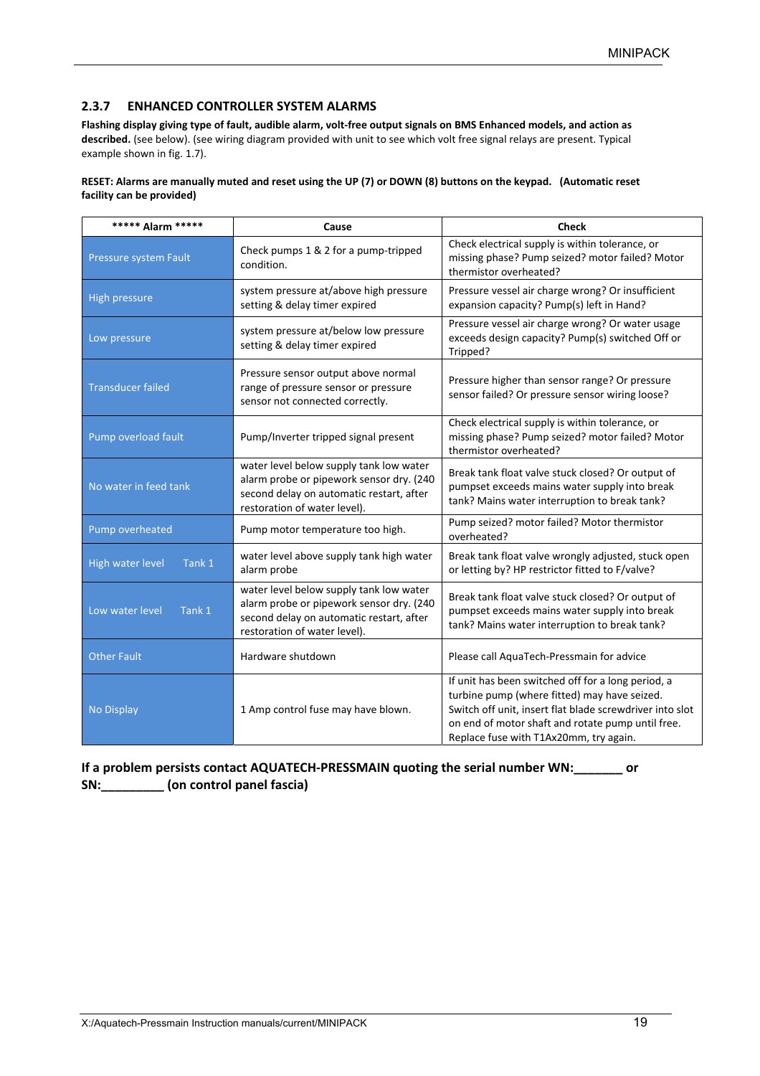### **2.3.7 ENHANCED CONTROLLER SYSTEM ALARMS**

**Flashing display giving type of fault, audible alarm, volt‐free output signals on BMS Enhanced models, and action as described.** (see below). (see wiring diagram provided with unit to see which volt free signal relays are present. Typical example shown in fig. 1.7).

#### **RESET: Alarms are manually muted and reset using the UP (7) or DOWN (8) buttons on the keypad. (Automatic reset facility can be provided)**

| ***** Alarm *****          | Cause                                                                                                                                                           | <b>Check</b>                                                                                                                                                                                                                                                  |
|----------------------------|-----------------------------------------------------------------------------------------------------------------------------------------------------------------|---------------------------------------------------------------------------------------------------------------------------------------------------------------------------------------------------------------------------------------------------------------|
| Pressure system Fault      | Check pumps 1 & 2 for a pump-tripped<br>condition.                                                                                                              | Check electrical supply is within tolerance, or<br>missing phase? Pump seized? motor failed? Motor<br>thermistor overheated?                                                                                                                                  |
| High pressure              | system pressure at/above high pressure<br>setting & delay timer expired                                                                                         | Pressure vessel air charge wrong? Or insufficient<br>expansion capacity? Pump(s) left in Hand?                                                                                                                                                                |
| Low pressure               | system pressure at/below low pressure<br>setting & delay timer expired                                                                                          | Pressure vessel air charge wrong? Or water usage<br>exceeds design capacity? Pump(s) switched Off or<br>Tripped?                                                                                                                                              |
| <b>Transducer failed</b>   | Pressure sensor output above normal<br>range of pressure sensor or pressure<br>sensor not connected correctly.                                                  | Pressure higher than sensor range? Or pressure<br>sensor failed? Or pressure sensor wiring loose?                                                                                                                                                             |
| Pump overload fault        | Pump/Inverter tripped signal present                                                                                                                            | Check electrical supply is within tolerance, or<br>missing phase? Pump seized? motor failed? Motor<br>thermistor overheated?                                                                                                                                  |
| No water in feed tank      | water level below supply tank low water<br>alarm probe or pipework sensor dry. (240<br>second delay on automatic restart, after<br>restoration of water level). | Break tank float valve stuck closed? Or output of<br>pumpset exceeds mains water supply into break<br>tank? Mains water interruption to break tank?                                                                                                           |
| Pump overheated            | Pump motor temperature too high.                                                                                                                                | Pump seized? motor failed? Motor thermistor<br>overheated?                                                                                                                                                                                                    |
| High water level<br>Tank 1 | water level above supply tank high water<br>alarm probe                                                                                                         | Break tank float valve wrongly adjusted, stuck open<br>or letting by? HP restrictor fitted to F/valve?                                                                                                                                                        |
| Low water level<br>Tank 1  | water level below supply tank low water<br>alarm probe or pipework sensor dry. (240<br>second delay on automatic restart, after<br>restoration of water level). | Break tank float valve stuck closed? Or output of<br>pumpset exceeds mains water supply into break<br>tank? Mains water interruption to break tank?                                                                                                           |
| <b>Other Fault</b>         | Hardware shutdown                                                                                                                                               | Please call AquaTech-Pressmain for advice                                                                                                                                                                                                                     |
| <b>No Display</b>          | 1 Amp control fuse may have blown.                                                                                                                              | If unit has been switched off for a long period, a<br>turbine pump (where fitted) may have seized.<br>Switch off unit, insert flat blade screwdriver into slot<br>on end of motor shaft and rotate pump until free.<br>Replace fuse with T1Ax20mm, try again. |

**If a problem persists contact AQUATECH‐PRESSMAIN quoting the serial number WN:\_\_\_\_\_\_\_ or SN:\_\_\_\_\_\_\_\_\_ (on control panel fascia)**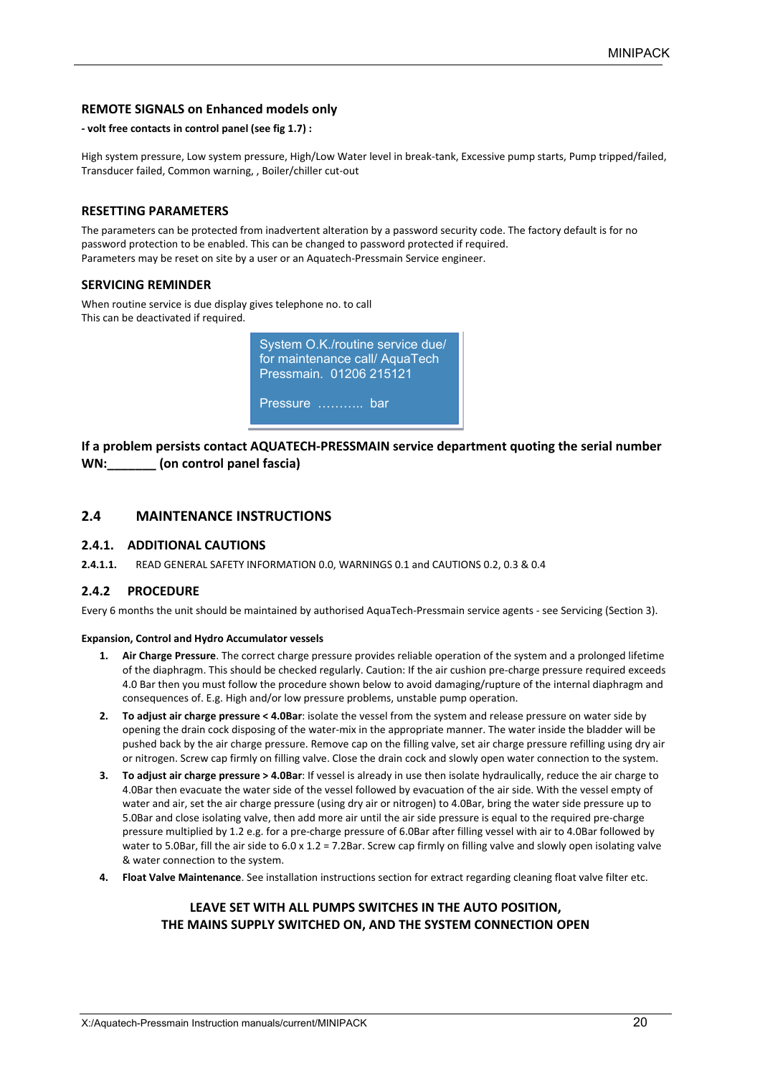#### **REMOTE SIGNALS on Enhanced models only**

#### **‐ volt free contacts in control panel (see fig 1.7) :**

High system pressure, Low system pressure, High/Low Water level in break-tank, Excessive pump starts, Pump tripped/failed, Transducer failed, Common warning, , Boiler/chiller cut‐out

#### **RESETTING PARAMETERS**

The parameters can be protected from inadvertent alteration by a password security code. The factory default is for no password protection to be enabled. This can be changed to password protected if required. Parameters may be reset on site by a user or an Aquatech‐Pressmain Service engineer.

#### **SERVICING REMINDER**

When routine service is due display gives telephone no. to call This can be deactivated if required.



**If a problem persists contact AQUATECH‐PRESSMAIN service department quoting the serial number WN:\_\_\_\_\_\_\_ (on control panel fascia)** 

#### **2.4 MAINTENANCE INSTRUCTIONS**

#### **2.4.1. ADDITIONAL CAUTIONS**

**2.4.1.1.**  READ GENERAL SAFETY INFORMATION 0.0, WARNINGS 0.1 and CAUTIONS 0.2, 0.3 & 0.4

#### **2.4.2 PROCEDURE**

Every 6 months the unit should be maintained by authorised AquaTech‐Pressmain service agents ‐ see Servicing (Section 3).

#### **Expansion, Control and Hydro Accumulator vessels**

- **1. Air Charge Pressure**. The correct charge pressure provides reliable operation of the system and a prolonged lifetime of the diaphragm. This should be checked regularly. Caution: If the air cushion pre‐charge pressure required exceeds 4.0 Bar then you must follow the procedure shown below to avoid damaging/rupture of the internal diaphragm and consequences of. E.g. High and/or low pressure problems, unstable pump operation.
- **2. To adjust air charge pressure < 4.0Bar**: isolate the vessel from the system and release pressure on water side by opening the drain cock disposing of the water‐mix in the appropriate manner. The water inside the bladder will be pushed back by the air charge pressure. Remove cap on the filling valve, set air charge pressure refilling using dry air or nitrogen. Screw cap firmly on filling valve. Close the drain cock and slowly open water connection to the system.
- **3. To adjust air charge pressure > 4.0Bar**: If vessel is already in use then isolate hydraulically, reduce the air charge to 4.0Bar then evacuate the water side of the vessel followed by evacuation of the air side. With the vessel empty of water and air, set the air charge pressure (using dry air or nitrogen) to 4.0Bar, bring the water side pressure up to 5.0Bar and close isolating valve, then add more air until the air side pressure is equal to the required pre-charge pressure multiplied by 1.2 e.g. for a pre‐charge pressure of 6.0Bar after filling vessel with air to 4.0Bar followed by water to 5.0Bar, fill the air side to 6.0 x 1.2 = 7.2Bar. Screw cap firmly on filling valve and slowly open isolating valve & water connection to the system.
- **4. Float Valve Maintenance**. See installation instructions section for extract regarding cleaning float valve filter etc.

#### **LEAVE SET WITH ALL PUMPS SWITCHES IN THE AUTO POSITION, THE MAINS SUPPLY SWITCHED ON, AND THE SYSTEM CONNECTION OPEN**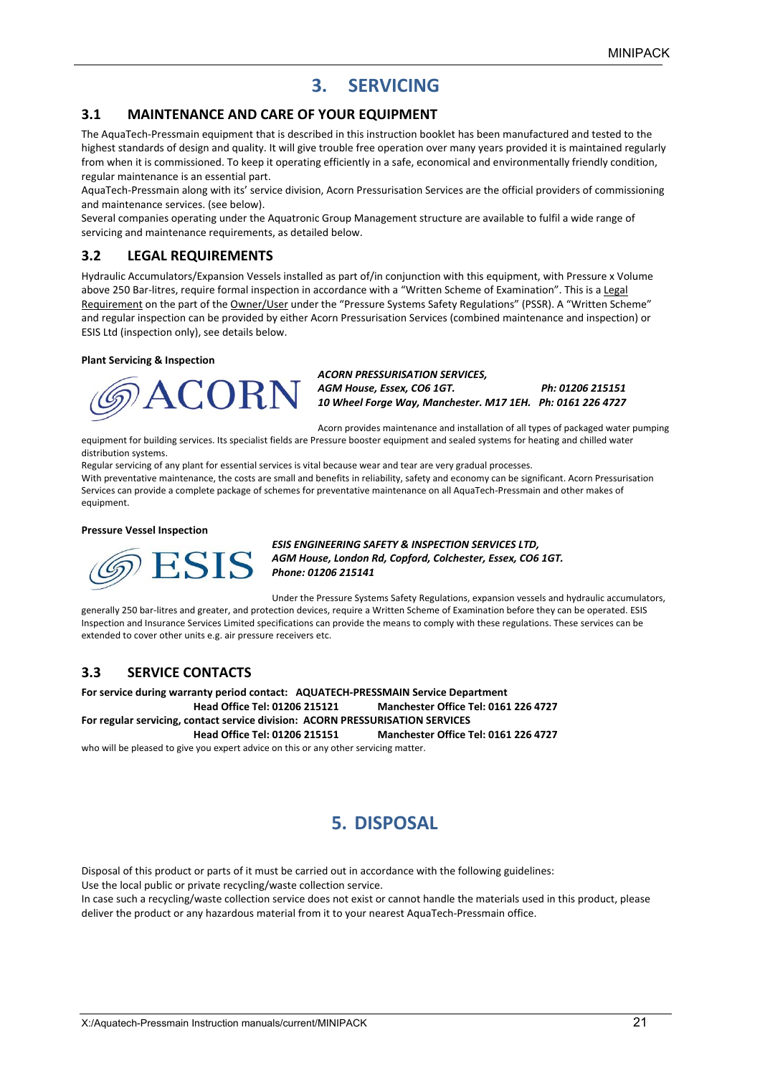## **3. SERVICING**

#### **3.1 MAINTENANCE AND CARE OF YOUR EQUIPMENT**

The AquaTech‐Pressmain equipment that is described in this instruction booklet has been manufactured and tested to the highest standards of design and quality. It will give trouble free operation over many years provided it is maintained regularly from when it is commissioned. To keep it operating efficiently in a safe, economical and environmentally friendly condition, regular maintenance is an essential part.

AquaTech‐Pressmain along with its' service division, Acorn Pressurisation Services are the official providers of commissioning and maintenance services. (see below).

Several companies operating under the Aquatronic Group Management structure are available to fulfil a wide range of servicing and maintenance requirements, as detailed below.

### **3.2 LEGAL REQUIREMENTS**

Hydraulic Accumulators/Expansion Vessels installed as part of/in conjunction with this equipment, with Pressure x Volume above 250 Bar‐litres, require formal inspection in accordance with a "Written Scheme of Examination". This is a Legal Requirement on the part of the Owner/User under the "Pressure Systems Safety Regulations" (PSSR). A "Written Scheme" and regular inspection can be provided by either Acorn Pressurisation Services (combined maintenance and inspection) or ESIS Ltd (inspection only), see details below.

#### **Plant Servicing & Inspection**



*ACORN PRESSURISATION SERVICES, AGM House, Essex, CO6 1GT. Ph: 01206 215151 10 Wheel Forge Way, Manchester. M17 1EH. Ph: 0161 226 4727* 

Acorn provides maintenance and installation of all types of packaged water pumping equipment for building services. Its specialist fields are Pressure booster equipment and sealed systems for heating and chilled water distribution systems.

Regular servicing of any plant for essential services is vital because wear and tear are very gradual processes.

With preventative maintenance, the costs are small and benefits in reliability, safety and economy can be significant. Acorn Pressurisation Services can provide a complete package of schemes for preventative maintenance on all AquaTech‐Pressmain and other makes of equipment.

#### **Pressure Vessel Inspection**



*ESIS ENGINEERING SAFETY & INSPECTION SERVICES LTD, AGM House, London Rd, Copford, Colchester, Essex, CO6 1GT. Phone: 01206 215141* 

Under the Pressure Systems Safety Regulations, expansion vessels and hydraulic accumulators, generally 250 bar-litres and greater, and protection devices, require a Written Scheme of Examination before they can be operated. ESIS Inspection and Insurance Services Limited specifications can provide the means to comply with these regulations. These services can be extended to cover other units e.g. air pressure receivers etc.

## **3.3 SERVICE CONTACTS**

**For service during warranty period contact: AQUATECH‐PRESSMAIN Service Department Head Office Tel: 01206 215121 Manchester Office Tel: 0161 226 4727 For regular servicing, contact service division: ACORN PRESSURISATION SERVICES** 

**Head Office Tel: 01206 215151 Manchester Office Tel: 0161 226 4727** 

who will be pleased to give you expert advice on this or any other servicing matter.

## **5. DISPOSAL**

Disposal of this product or parts of it must be carried out in accordance with the following guidelines: Use the local public or private recycling/waste collection service.

In case such a recycling/waste collection service does not exist or cannot handle the materials used in this product, please deliver the product or any hazardous material from it to your nearest AquaTech‐Pressmain office.